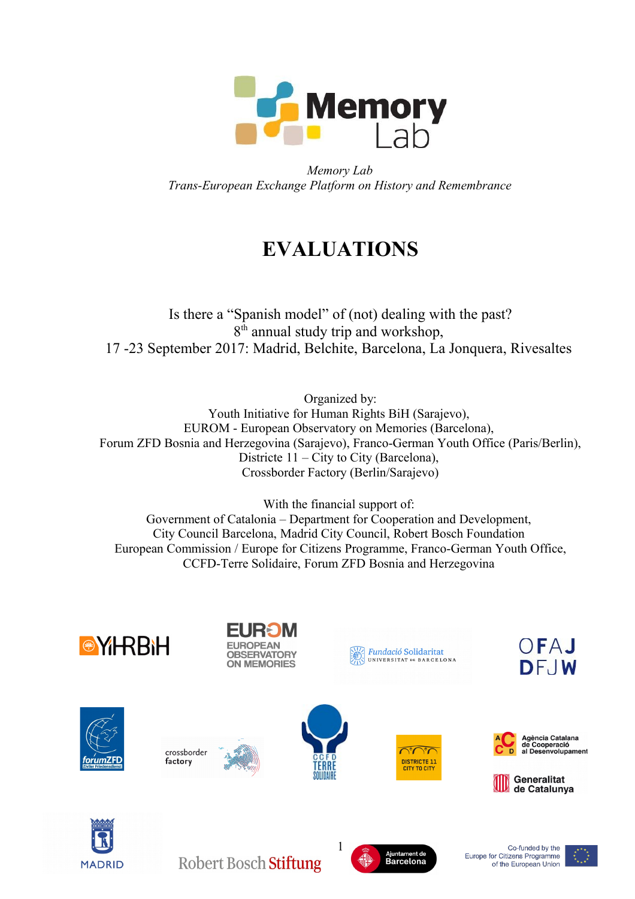

*Memory Lab Trans-European Exchange Platform on History and Remembrance*

# **EVALUATIONS**

Is there a "Spanish model" of (not) dealing with the past? 8<sup>th</sup> annual study trip and workshop, 17 -23 September 2017: Madrid, Belchite, Barcelona, La Jonquera, Rivesaltes

Organized by: Youth Initiative for Human Rights BiH (Sarajevo), EUROM - European Observatory on Memories (Barcelona), Forum ZFD Bosnia and Herzegovina (Sarajevo), Franco-German Youth Office (Paris/Berlin), Districte 11 – City to City (Barcelona), Crossborder Factory (Berlin/Sarajevo)

With the financial support of: Government of Catalonia – Department for Cooperation and Development, City Council Barcelona, Madrid City Council, Robert Bosch Foundation European Commission / Europe for Citizens Programme, Franco-German Youth Office, CCFD-Terre Solidaire, Forum ZFD Bosnia and Herzegovina









crossborder

factory





Fundació Solidaritat

UNIVERSITAT DE BARCELONA









Robert Bosch Stiftung



Co-funded by the Europe for Citizens Programme of the European Union

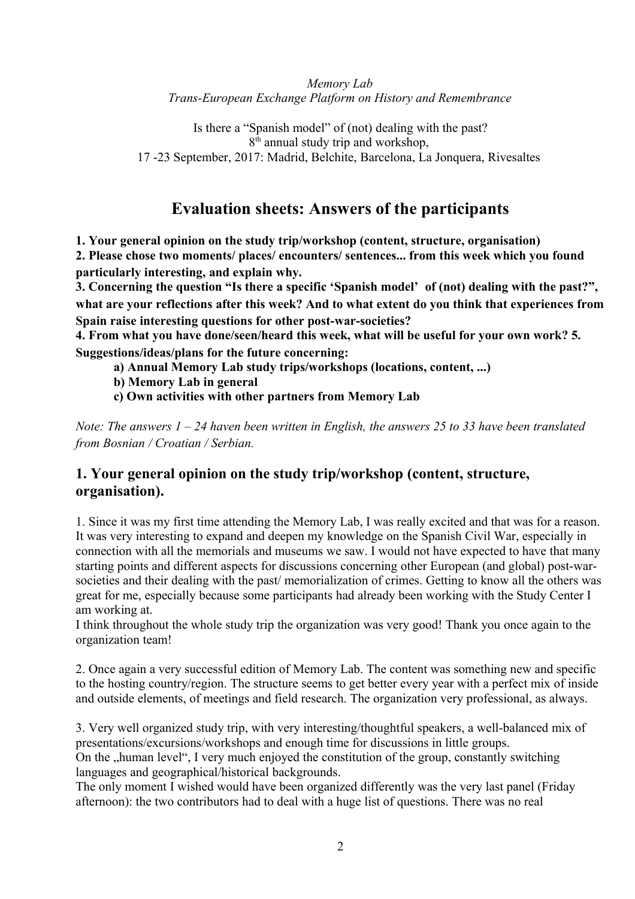#### *Memory Lab Trans-European Exchange Platform on History and Remembrance*

Is there a "Spanish model" of (not) dealing with the past? 8<sup>th</sup> annual study trip and workshop, 17 -23 September, 2017: Madrid, Belchite, Barcelona, La Jonquera, Rivesaltes

# **Evaluation sheets: Answers of the participants**

**1. Your general opinion on the study trip/workshop (content, structure, organisation) 2. Please chose two moments/ places/ encounters/ sentences... from this week which you found particularly interesting, and explain why.**

**3. Concerning the question "Is there a specific 'Spanish model' of (not) dealing with the past?", what are your reflections after this week? And to what extent do you think that experiences from Spain raise interesting questions for other post-war-societies?** 

**4. From what you have done/seen/heard this week, what will be useful for your own work? 5. Suggestions/ideas/plans for the future concerning:**

**a) Annual Memory Lab study trips/workshops (locations, content, ...)** 

**b) Memory Lab in general** 

**c) Own activities with other partners from Memory Lab**

*Note: The answers 1 – 24 haven been written in English, the answers 25 to 33 have been translated from Bosnian / Croatian / Serbian.*

## **1. Your general opinion on the study trip/workshop (content, structure, organisation).**

1. Since it was my first time attending the Memory Lab, I was really excited and that was for a reason. It was very interesting to expand and deepen my knowledge on the Spanish Civil War, especially in connection with all the memorials and museums we saw. I would not have expected to have that many starting points and different aspects for discussions concerning other European (and global) post-warsocieties and their dealing with the past/ memorialization of crimes. Getting to know all the others was great for me, especially because some participants had already been working with the Study Center I am working at.

I think throughout the whole study trip the organization was very good! Thank you once again to the organization team!

2. Once again a very successful edition of Memory Lab. The content was something new and specific to the hosting country/region. The structure seems to get better every year with a perfect mix of inside and outside elements, of meetings and field research. The organization very professional, as always.

3. Very well organized study trip, with very interesting/thoughtful speakers, a well-balanced mix of presentations/excursions/workshops and enough time for discussions in little groups.

On the "human level", I very much enjoyed the constitution of the group, constantly switching languages and geographical/historical backgrounds.

The only moment I wished would have been organized differently was the very last panel (Friday afternoon): the two contributors had to deal with a huge list of questions. There was no real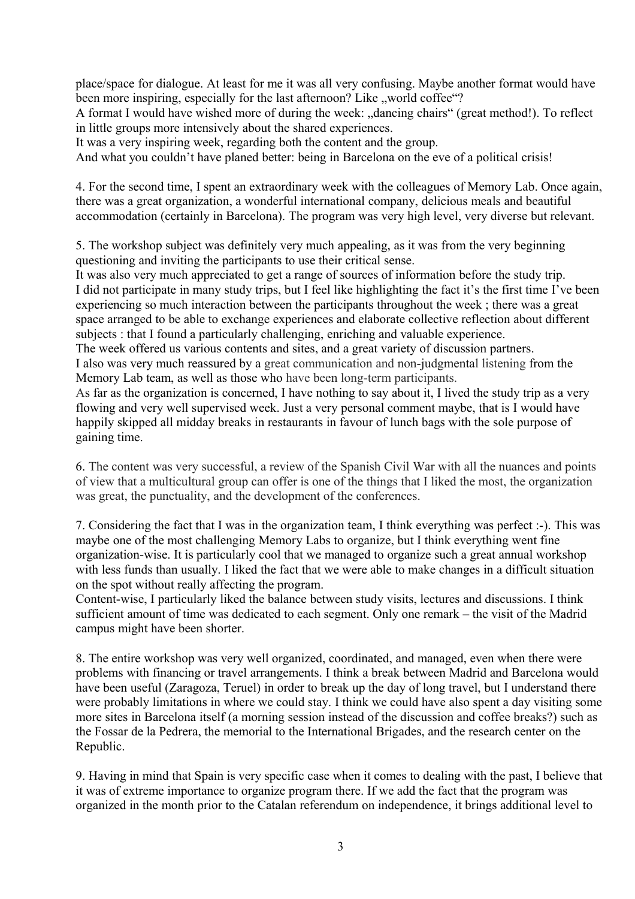place/space for dialogue. At least for me it was all very confusing. Maybe another format would have been more inspiring, especially for the last afternoon? Like , world coffee "?

A format I would have wished more of during the week: "dancing chairs" (great method!). To reflect in little groups more intensively about the shared experiences.

It was a very inspiring week, regarding both the content and the group.

And what you couldn't have planed better: being in Barcelona on the eve of a political crisis!

4. For the second time, I spent an extraordinary week with the colleagues of Memory Lab. Once again, there was a great organization, a wonderful international company, delicious meals and beautiful accommodation (certainly in Barcelona). The program was very high level, very diverse but relevant.

5. The workshop subject was definitely very much appealing, as it was from the very beginning questioning and inviting the participants to use their critical sense.

It was also very much appreciated to get a range of sources of information before the study trip. I did not participate in many study trips, but I feel like highlighting the fact it's the first time I've been experiencing so much interaction between the participants throughout the week ; there was a great space arranged to be able to exchange experiences and elaborate collective reflection about different subjects : that I found a particularly challenging, enriching and valuable experience.

The week offered us various contents and sites, and a great variety of discussion partners. I also was very much reassured by a great communication and non-judgmental listening from the Memory Lab team, as well as those who have been long-term participants.

As far as the organization is concerned, I have nothing to say about it, I lived the study trip as a very flowing and very well supervised week. Just a very personal comment maybe, that is I would have happily skipped all midday breaks in restaurants in favour of lunch bags with the sole purpose of gaining time.

6. The content was very successful, a review of the Spanish Civil War with all the nuances and points of view that a multicultural group can offer is one of the things that I liked the most, the organization was great, the punctuality, and the development of the conferences.

7. Considering the fact that I was in the organization team, I think everything was perfect :-). This was maybe one of the most challenging Memory Labs to organize, but I think everything went fine organization-wise. It is particularly cool that we managed to organize such a great annual workshop with less funds than usually. I liked the fact that we were able to make changes in a difficult situation on the spot without really affecting the program.

Content-wise, I particularly liked the balance between study visits, lectures and discussions. I think sufficient amount of time was dedicated to each segment. Only one remark – the visit of the Madrid campus might have been shorter.

8. The entire workshop was very well organized, coordinated, and managed, even when there were problems with financing or travel arrangements. I think a break between Madrid and Barcelona would have been useful (Zaragoza, Teruel) in order to break up the day of long travel, but I understand there were probably limitations in where we could stay. I think we could have also spent a day visiting some more sites in Barcelona itself (a morning session instead of the discussion and coffee breaks?) such as the Fossar de la Pedrera, the memorial to the International Brigades, and the research center on the Republic.

9. Having in mind that Spain is very specific case when it comes to dealing with the past, I believe that it was of extreme importance to organize program there. If we add the fact that the program was organized in the month prior to the Catalan referendum on independence, it brings additional level to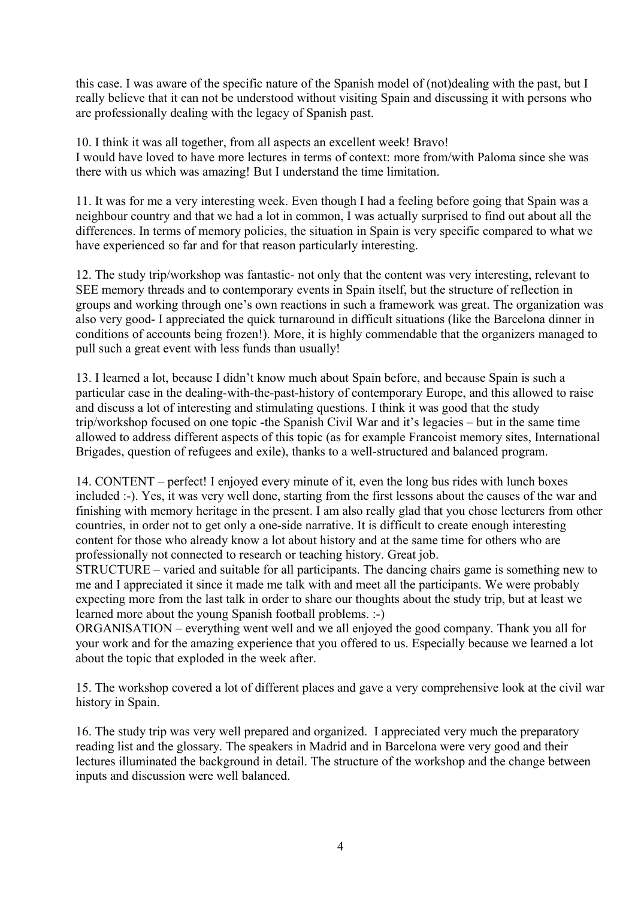this case. I was aware of the specific nature of the Spanish model of (not)dealing with the past, but I really believe that it can not be understood without visiting Spain and discussing it with persons who are professionally dealing with the legacy of Spanish past.

10. I think it was all together, from all aspects an excellent week! Bravo! I would have loved to have more lectures in terms of context: more from/with Paloma since she was there with us which was amazing! But I understand the time limitation.

11. It was for me a very interesting week. Even though I had a feeling before going that Spain was a neighbour country and that we had a lot in common, I was actually surprised to find out about all the differences. In terms of memory policies, the situation in Spain is very specific compared to what we have experienced so far and for that reason particularly interesting.

12. The study trip/workshop was fantastic- not only that the content was very interesting, relevant to SEE memory threads and to contemporary events in Spain itself, but the structure of reflection in groups and working through one's own reactions in such a framework was great. The organization was also very good- I appreciated the quick turnaround in difficult situations (like the Barcelona dinner in conditions of accounts being frozen!). More, it is highly commendable that the organizers managed to pull such a great event with less funds than usually!

13. I learned a lot, because I didn't know much about Spain before, and because Spain is such a particular case in the dealing-with-the-past-history of contemporary Europe, and this allowed to raise and discuss a lot of interesting and stimulating questions. I think it was good that the study trip/workshop focused on one topic -the Spanish Civil War and it's legacies – but in the same time allowed to address different aspects of this topic (as for example Francoist memory sites, International Brigades, question of refugees and exile), thanks to a well-structured and balanced program.

14. CONTENT – perfect! I enjoyed every minute of it, even the long bus rides with lunch boxes included :-). Yes, it was very well done, starting from the first lessons about the causes of the war and finishing with memory heritage in the present. I am also really glad that you chose lecturers from other countries, in order not to get only a one-side narrative. It is difficult to create enough interesting content for those who already know a lot about history and at the same time for others who are professionally not connected to research or teaching history. Great job.

STRUCTURE – varied and suitable for all participants. The dancing chairs game is something new to me and I appreciated it since it made me talk with and meet all the participants. We were probably expecting more from the last talk in order to share our thoughts about the study trip, but at least we learned more about the young Spanish football problems. :-)

ORGANISATION – everything went well and we all enjoyed the good company. Thank you all for your work and for the amazing experience that you offered to us. Especially because we learned a lot about the topic that exploded in the week after.

15. The workshop covered a lot of different places and gave a very comprehensive look at the civil war history in Spain.

16. The study trip was very well prepared and organized. I appreciated very much the preparatory reading list and the glossary. The speakers in Madrid and in Barcelona were very good and their lectures illuminated the background in detail. The structure of the workshop and the change between inputs and discussion were well balanced.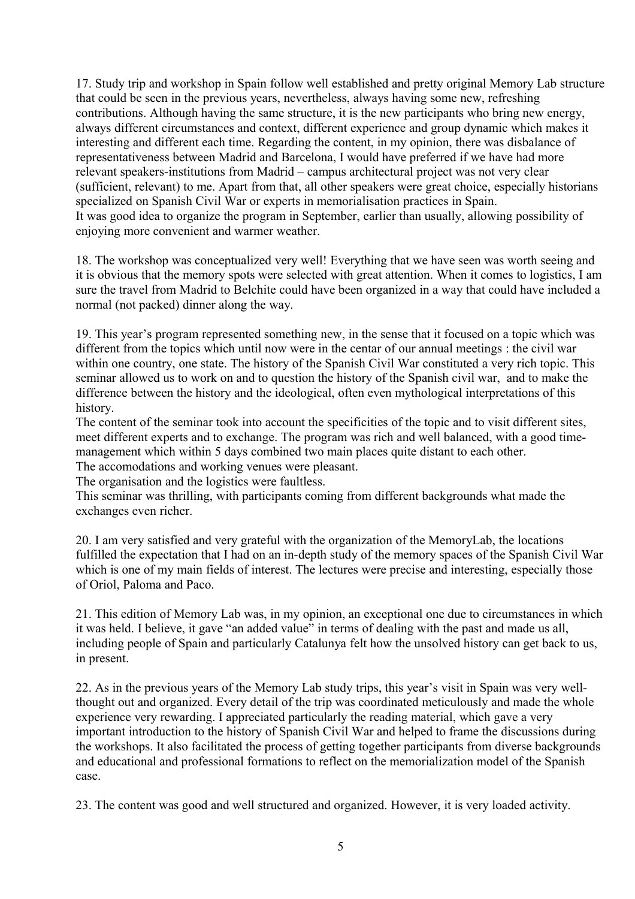17. Study trip and workshop in Spain follow well established and pretty original Memory Lab structure that could be seen in the previous years, nevertheless, always having some new, refreshing contributions. Although having the same structure, it is the new participants who bring new energy, always different circumstances and context, different experience and group dynamic which makes it interesting and different each time. Regarding the content, in my opinion, there was disbalance of representativeness between Madrid and Barcelona, I would have preferred if we have had more relevant speakers-institutions from Madrid – campus architectural project was not very clear (sufficient, relevant) to me. Apart from that, all other speakers were great choice, especially historians specialized on Spanish Civil War or experts in memorialisation practices in Spain. It was good idea to organize the program in September, earlier than usually, allowing possibility of enjoying more convenient and warmer weather.

18. The workshop was conceptualized very well! Everything that we have seen was worth seeing and it is obvious that the memory spots were selected with great attention. When it comes to logistics, I am sure the travel from Madrid to Belchite could have been organized in a way that could have included a normal (not packed) dinner along the way.

19. This year's program represented something new, in the sense that it focused on a topic which was different from the topics which until now were in the centar of our annual meetings : the civil war within one country, one state. The history of the Spanish Civil War constituted a very rich topic. This seminar allowed us to work on and to question the history of the Spanish civil war, and to make the difference between the history and the ideological, often even mythological interpretations of this history.

The content of the seminar took into account the specificities of the topic and to visit different sites, meet different experts and to exchange. The program was rich and well balanced, with a good timemanagement which within 5 days combined two main places quite distant to each other.

The accomodations and working venues were pleasant.

The organisation and the logistics were faultless.

This seminar was thrilling, with participants coming from different backgrounds what made the exchanges even richer.

20. I am very satisfied and very grateful with the organization of the MemoryLab, the locations fulfilled the expectation that I had on an in-depth study of the memory spaces of the Spanish Civil War which is one of my main fields of interest. The lectures were precise and interesting, especially those of Oriol, Paloma and Paco.

21. This edition of Memory Lab was, in my opinion, an exceptional one due to circumstances in which it was held. I believe, it gave "an added value" in terms of dealing with the past and made us all, including people of Spain and particularly Catalunya felt how the unsolved history can get back to us, in present.

22. As in the previous years of the Memory Lab study trips, this year's visit in Spain was very wellthought out and organized. Every detail of the trip was coordinated meticulously and made the whole experience very rewarding. I appreciated particularly the reading material, which gave a very important introduction to the history of Spanish Civil War and helped to frame the discussions during the workshops. It also facilitated the process of getting together participants from diverse backgrounds and educational and professional formations to reflect on the memorialization model of the Spanish case.

23. The content was good and well structured and organized. However, it is very loaded activity.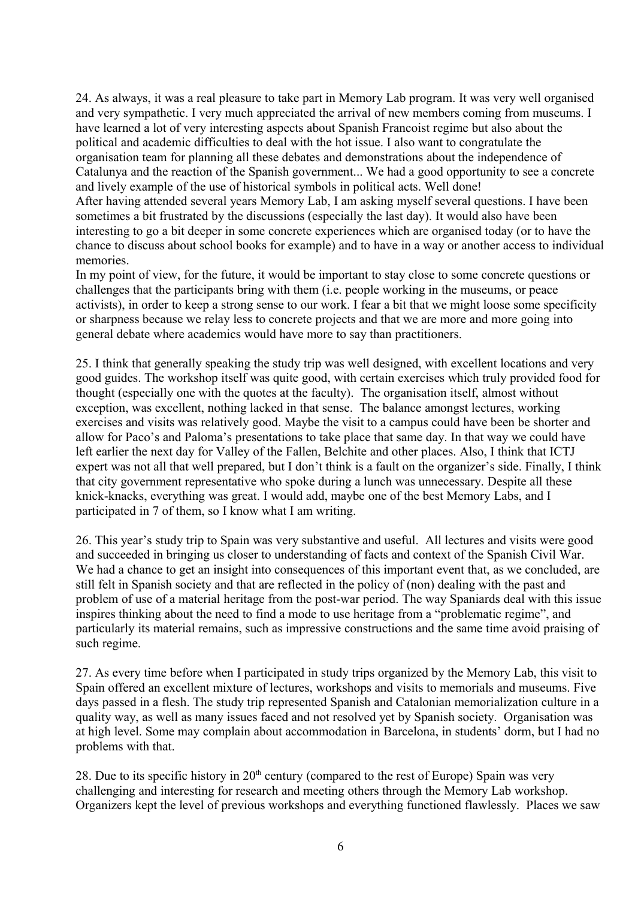24. As always, it was a real pleasure to take part in Memory Lab program. It was very well organised and very sympathetic. I very much appreciated the arrival of new members coming from museums. I have learned a lot of very interesting aspects about Spanish Francoist regime but also about the political and academic difficulties to deal with the hot issue. I also want to congratulate the organisation team for planning all these debates and demonstrations about the independence of Catalunya and the reaction of the Spanish government... We had a good opportunity to see a concrete and lively example of the use of historical symbols in political acts. Well done!

After having attended several years Memory Lab, I am asking myself several questions. I have been sometimes a bit frustrated by the discussions (especially the last day). It would also have been interesting to go a bit deeper in some concrete experiences which are organised today (or to have the chance to discuss about school books for example) and to have in a way or another access to individual memories.

In my point of view, for the future, it would be important to stay close to some concrete questions or challenges that the participants bring with them (i.e. people working in the museums, or peace activists), in order to keep a strong sense to our work. I fear a bit that we might loose some specificity or sharpness because we relay less to concrete projects and that we are more and more going into general debate where academics would have more to say than practitioners.

25. I think that generally speaking the study trip was well designed, with excellent locations and very good guides. The workshop itself was quite good, with certain exercises which truly provided food for thought (especially one with the quotes at the faculty). The organisation itself, almost without exception, was excellent, nothing lacked in that sense. The balance amongst lectures, working exercises and visits was relatively good. Maybe the visit to a campus could have been be shorter and allow for Paco's and Paloma's presentations to take place that same day. In that way we could have left earlier the next day for Valley of the Fallen, Belchite and other places. Also, I think that ICTJ expert was not all that well prepared, but I don't think is a fault on the organizer's side. Finally, I think that city government representative who spoke during a lunch was unnecessary. Despite all these knick-knacks, everything was great. I would add, maybe one of the best Memory Labs, and I participated in 7 of them, so I know what I am writing.

26. This year's study trip to Spain was very substantive and useful. All lectures and visits were good and succeeded in bringing us closer to understanding of facts and context of the Spanish Civil War. We had a chance to get an insight into consequences of this important event that, as we concluded, are still felt in Spanish society and that are reflected in the policy of (non) dealing with the past and problem of use of a material heritage from the post-war period. The way Spaniards deal with this issue inspires thinking about the need to find a mode to use heritage from a "problematic regime", and particularly its material remains, such as impressive constructions and the same time avoid praising of such regime.

27. As every time before when I participated in study trips organized by the Memory Lab, this visit to Spain offered an excellent mixture of lectures, workshops and visits to memorials and museums. Five days passed in a flesh. The study trip represented Spanish and Catalonian memorialization culture in a quality way, as well as many issues faced and not resolved yet by Spanish society. Organisation was at high level. Some may complain about accommodation in Barcelona, in students' dorm, but I had no problems with that.

28. Due to its specific history in  $20<sup>th</sup>$  century (compared to the rest of Europe) Spain was very challenging and interesting for research and meeting others through the Memory Lab workshop. Organizers kept the level of previous workshops and everything functioned flawlessly. Places we saw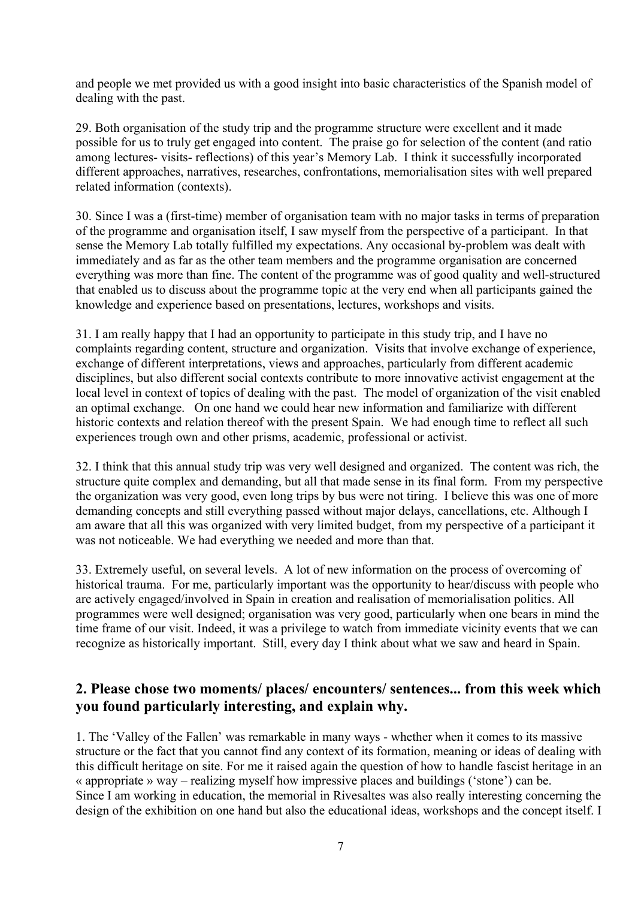and people we met provided us with a good insight into basic characteristics of the Spanish model of dealing with the past.

29. Both organisation of the study trip and the programme structure were excellent and it made possible for us to truly get engaged into content. The praise go for selection of the content (and ratio among lectures- visits- reflections) of this year's Memory Lab. I think it successfully incorporated different approaches, narratives, researches, confrontations, memorialisation sites with well prepared related information (contexts).

30. Since I was a (first-time) member of organisation team with no major tasks in terms of preparation of the programme and organisation itself, I saw myself from the perspective of a participant. In that sense the Memory Lab totally fulfilled my expectations. Any occasional by-problem was dealt with immediately and as far as the other team members and the programme organisation are concerned everything was more than fine. The content of the programme was of good quality and well-structured that enabled us to discuss about the programme topic at the very end when all participants gained the knowledge and experience based on presentations, lectures, workshops and visits.

31. I am really happy that I had an opportunity to participate in this study trip, and I have no complaints regarding content, structure and organization. Visits that involve exchange of experience, exchange of different interpretations, views and approaches, particularly from different academic disciplines, but also different social contexts contribute to more innovative activist engagement at the local level in context of topics of dealing with the past. The model of organization of the visit enabled an optimal exchange. On one hand we could hear new information and familiarize with different historic contexts and relation thereof with the present Spain. We had enough time to reflect all such experiences trough own and other prisms, academic, professional or activist.

32. I think that this annual study trip was very well designed and organized. The content was rich, the structure quite complex and demanding, but all that made sense in its final form. From my perspective the organization was very good, even long trips by bus were not tiring. I believe this was one of more demanding concepts and still everything passed without major delays, cancellations, etc. Although I am aware that all this was organized with very limited budget, from my perspective of a participant it was not noticeable. We had everything we needed and more than that.

33. Extremely useful, on several levels. A lot of new information on the process of overcoming of historical trauma. For me, particularly important was the opportunity to hear/discuss with people who are actively engaged/involved in Spain in creation and realisation of memorialisation politics. All programmes were well designed; organisation was very good, particularly when one bears in mind the time frame of our visit. Indeed, it was a privilege to watch from immediate vicinity events that we can recognize as historically important. Still, every day I think about what we saw and heard in Spain.

#### **2. Please chose two moments/ places/ encounters/ sentences... from this week which you found particularly interesting, and explain why.**

1. The 'Valley of the Fallen' was remarkable in many ways - whether when it comes to its massive structure or the fact that you cannot find any context of its formation, meaning or ideas of dealing with this difficult heritage on site. For me it raised again the question of how to handle fascist heritage in an « appropriate » way – realizing myself how impressive places and buildings ('stone') can be. Since I am working in education, the memorial in Rivesaltes was also really interesting concerning the design of the exhibition on one hand but also the educational ideas, workshops and the concept itself. I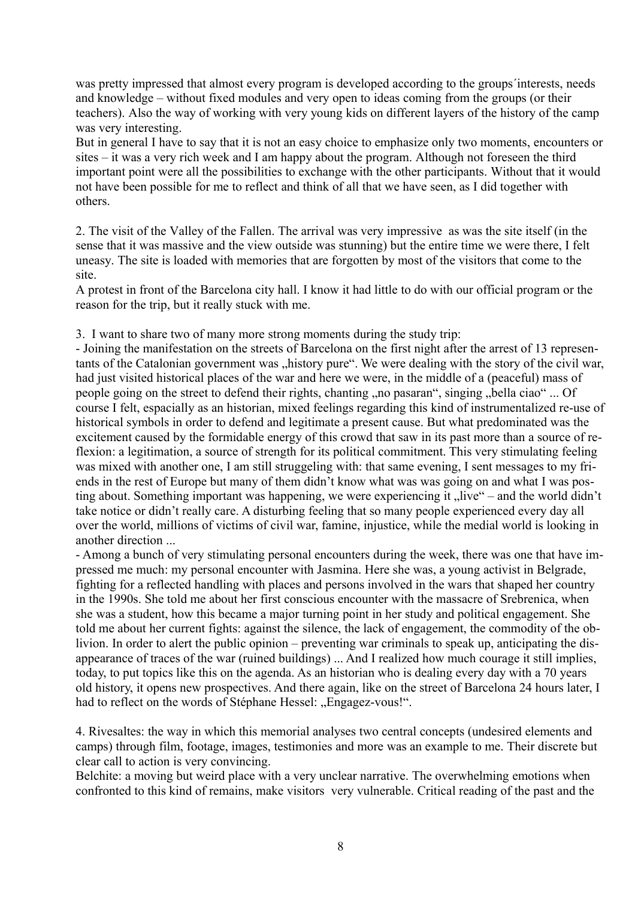was pretty impressed that almost every program is developed according to the groups interests, needs and knowledge – without fixed modules and very open to ideas coming from the groups (or their teachers). Also the way of working with very young kids on different layers of the history of the camp was very interesting.

But in general I have to say that it is not an easy choice to emphasize only two moments, encounters or sites – it was a very rich week and I am happy about the program. Although not foreseen the third important point were all the possibilities to exchange with the other participants. Without that it would not have been possible for me to reflect and think of all that we have seen, as I did together with others.

2. The visit of the Valley of the Fallen. The arrival was very impressive as was the site itself (in the sense that it was massive and the view outside was stunning) but the entire time we were there, I felt uneasy. The site is loaded with memories that are forgotten by most of the visitors that come to the site.

A protest in front of the Barcelona city hall. I know it had little to do with our official program or the reason for the trip, but it really stuck with me.

3. I want to share two of many more strong moments during the study trip:

- Joining the manifestation on the streets of Barcelona on the first night after the arrest of 13 representants of the Catalonian government was "history pure". We were dealing with the story of the civil war, had just visited historical places of the war and here we were, in the middle of a (peaceful) mass of people going on the street to defend their rights, chanting , no pasaran", singing "bella ciao" ... Of course I felt, espacially as an historian, mixed feelings regarding this kind of instrumentalized re-use of historical symbols in order to defend and legitimate a present cause. But what predominated was the excitement caused by the formidable energy of this crowd that saw in its past more than a source of reflexion: a legitimation, a source of strength for its political commitment. This very stimulating feeling was mixed with another one, I am still struggeling with: that same evening, I sent messages to my friends in the rest of Europe but many of them didn't know what was was going on and what I was posting about. Something important was happening, we were experiencing it "live" – and the world didn't take notice or didn't really care. A disturbing feeling that so many people experienced every day all over the world, millions of victims of civil war, famine, injustice, while the medial world is looking in another direction ...

- Among a bunch of very stimulating personal encounters during the week, there was one that have impressed me much: my personal encounter with Jasmina. Here she was, a young activist in Belgrade, fighting for a reflected handling with places and persons involved in the wars that shaped her country in the 1990s. She told me about her first conscious encounter with the massacre of Srebrenica, when she was a student, how this became a major turning point in her study and political engagement. She told me about her current fights: against the silence, the lack of engagement, the commodity of the oblivion. In order to alert the public opinion – preventing war criminals to speak up, anticipating the disappearance of traces of the war (ruined buildings) ... And I realized how much courage it still implies, today, to put topics like this on the agenda. As an historian who is dealing every day with a 70 years old history, it opens new prospectives. And there again, like on the street of Barcelona 24 hours later, I had to reflect on the words of Stéphane Hessel: "Engagez-vous!".

4. Rivesaltes: the way in which this memorial analyses two central concepts (undesired elements and camps) through film, footage, images, testimonies and more was an example to me. Their discrete but clear call to action is very convincing.

Belchite: a moving but weird place with a very unclear narrative. The overwhelming emotions when confronted to this kind of remains, make visitors very vulnerable. Critical reading of the past and the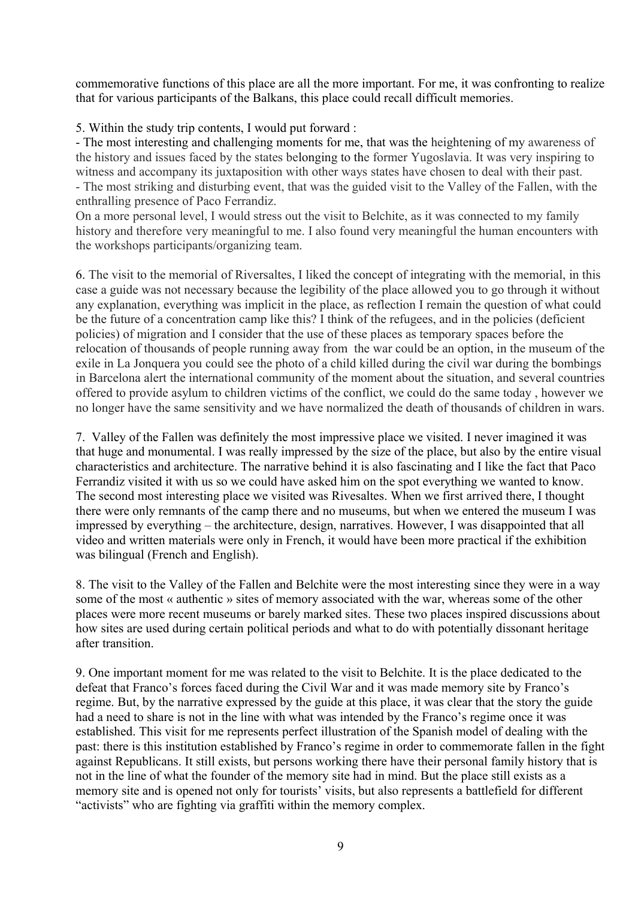commemorative functions of this place are all the more important. For me, it was confronting to realize that for various participants of the Balkans, this place could recall difficult memories.

5. Within the study trip contents, I would put forward :

- The most interesting and challenging moments for me, that was the heightening of my awareness of the history and issues faced by the states belonging to the former Yugoslavia. It was very inspiring to witness and accompany its juxtaposition with other ways states have chosen to deal with their past. - The most striking and disturbing event, that was the guided visit to the Valley of the Fallen, with the enthralling presence of Paco Ferrandiz.

On a more personal level, I would stress out the visit to Belchite, as it was connected to my family history and therefore very meaningful to me. I also found very meaningful the human encounters with the workshops participants/organizing team.

6. The visit to the memorial of Riversaltes, I liked the concept of integrating with the memorial, in this case a guide was not necessary because the legibility of the place allowed you to go through it without any explanation, everything was implicit in the place, as reflection I remain the question of what could be the future of a concentration camp like this? I think of the refugees, and in the policies (deficient policies) of migration and I consider that the use of these places as temporary spaces before the relocation of thousands of people running away from the war could be an option, in the museum of the exile in La Jonquera you could see the photo of a child killed during the civil war during the bombings in Barcelona alert the international community of the moment about the situation, and several countries offered to provide asylum to children victims of the conflict, we could do the same today , however we no longer have the same sensitivity and we have normalized the death of thousands of children in wars.

7. Valley of the Fallen was definitely the most impressive place we visited. I never imagined it was that huge and monumental. I was really impressed by the size of the place, but also by the entire visual characteristics and architecture. The narrative behind it is also fascinating and I like the fact that Paco Ferrandiz visited it with us so we could have asked him on the spot everything we wanted to know. The second most interesting place we visited was Rivesaltes. When we first arrived there, I thought there were only remnants of the camp there and no museums, but when we entered the museum I was impressed by everything – the architecture, design, narratives. However, I was disappointed that all video and written materials were only in French, it would have been more practical if the exhibition was bilingual (French and English).

8. The visit to the Valley of the Fallen and Belchite were the most interesting since they were in a way some of the most « authentic » sites of memory associated with the war, whereas some of the other places were more recent museums or barely marked sites. These two places inspired discussions about how sites are used during certain political periods and what to do with potentially dissonant heritage after transition.

9. One important moment for me was related to the visit to Belchite. It is the place dedicated to the defeat that Franco's forces faced during the Civil War and it was made memory site by Franco's regime. But, by the narrative expressed by the guide at this place, it was clear that the story the guide had a need to share is not in the line with what was intended by the Franco's regime once it was established. This visit for me represents perfect illustration of the Spanish model of dealing with the past: there is this institution established by Franco's regime in order to commemorate fallen in the fight against Republicans. It still exists, but persons working there have their personal family history that is not in the line of what the founder of the memory site had in mind. But the place still exists as a memory site and is opened not only for tourists' visits, but also represents a battlefield for different "activists" who are fighting via graffiti within the memory complex.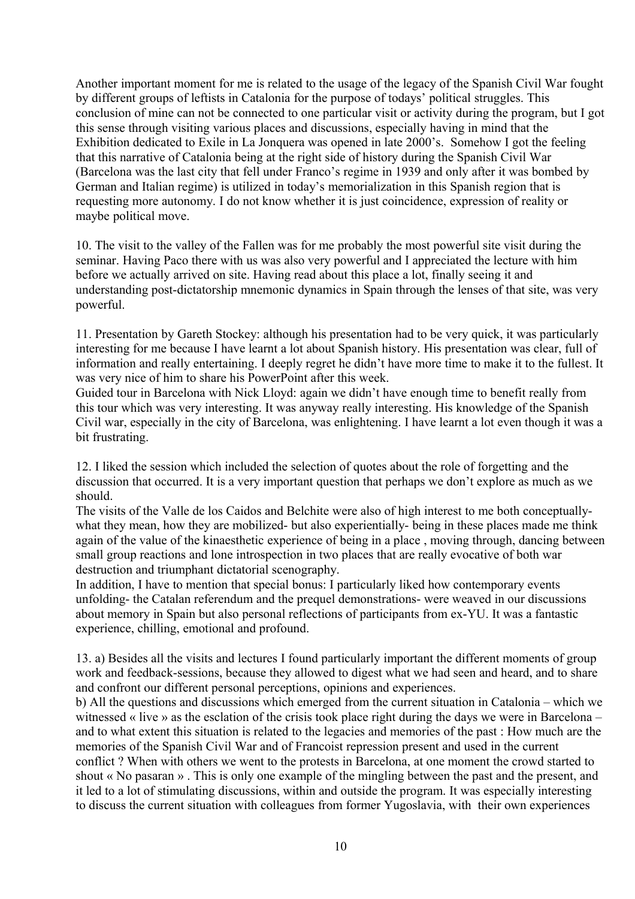Another important moment for me is related to the usage of the legacy of the Spanish Civil War fought by different groups of leftists in Catalonia for the purpose of todays' political struggles. This conclusion of mine can not be connected to one particular visit or activity during the program, but I got this sense through visiting various places and discussions, especially having in mind that the Exhibition dedicated to Exile in La Jonquera was opened in late 2000's. Somehow I got the feeling that this narrative of Catalonia being at the right side of history during the Spanish Civil War (Barcelona was the last city that fell under Franco's regime in 1939 and only after it was bombed by German and Italian regime) is utilized in today's memorialization in this Spanish region that is requesting more autonomy. I do not know whether it is just coincidence, expression of reality or maybe political move.

10. The visit to the valley of the Fallen was for me probably the most powerful site visit during the seminar. Having Paco there with us was also very powerful and I appreciated the lecture with him before we actually arrived on site. Having read about this place a lot, finally seeing it and understanding post-dictatorship mnemonic dynamics in Spain through the lenses of that site, was very powerful.

11. Presentation by Gareth Stockey: although his presentation had to be very quick, it was particularly interesting for me because I have learnt a lot about Spanish history. His presentation was clear, full of information and really entertaining. I deeply regret he didn't have more time to make it to the fullest. It was very nice of him to share his PowerPoint after this week.

Guided tour in Barcelona with Nick Lloyd: again we didn't have enough time to benefit really from this tour which was very interesting. It was anyway really interesting. His knowledge of the Spanish Civil war, especially in the city of Barcelona, was enlightening. I have learnt a lot even though it was a bit frustrating.

12. I liked the session which included the selection of quotes about the role of forgetting and the discussion that occurred. It is a very important question that perhaps we don't explore as much as we should.

The visits of the Valle de los Caidos and Belchite were also of high interest to me both conceptuallywhat they mean, how they are mobilized- but also experientially- being in these places made me think again of the value of the kinaesthetic experience of being in a place , moving through, dancing between small group reactions and lone introspection in two places that are really evocative of both war destruction and triumphant dictatorial scenography.

In addition, I have to mention that special bonus: I particularly liked how contemporary events unfolding- the Catalan referendum and the prequel demonstrations- were weaved in our discussions about memory in Spain but also personal reflections of participants from ex-YU. It was a fantastic experience, chilling, emotional and profound.

13. a) Besides all the visits and lectures I found particularly important the different moments of group work and feedback-sessions, because they allowed to digest what we had seen and heard, and to share and confront our different personal perceptions, opinions and experiences.

b) All the questions and discussions which emerged from the current situation in Catalonia – which we witnessed « live » as the esclation of the crisis took place right during the days we were in Barcelona – and to what extent this situation is related to the legacies and memories of the past : How much are the memories of the Spanish Civil War and of Francoist repression present and used in the current conflict ? When with others we went to the protests in Barcelona, at one moment the crowd started to shout « No pasaran » . This is only one example of the mingling between the past and the present, and it led to a lot of stimulating discussions, within and outside the program. It was especially interesting to discuss the current situation with colleagues from former Yugoslavia, with their own experiences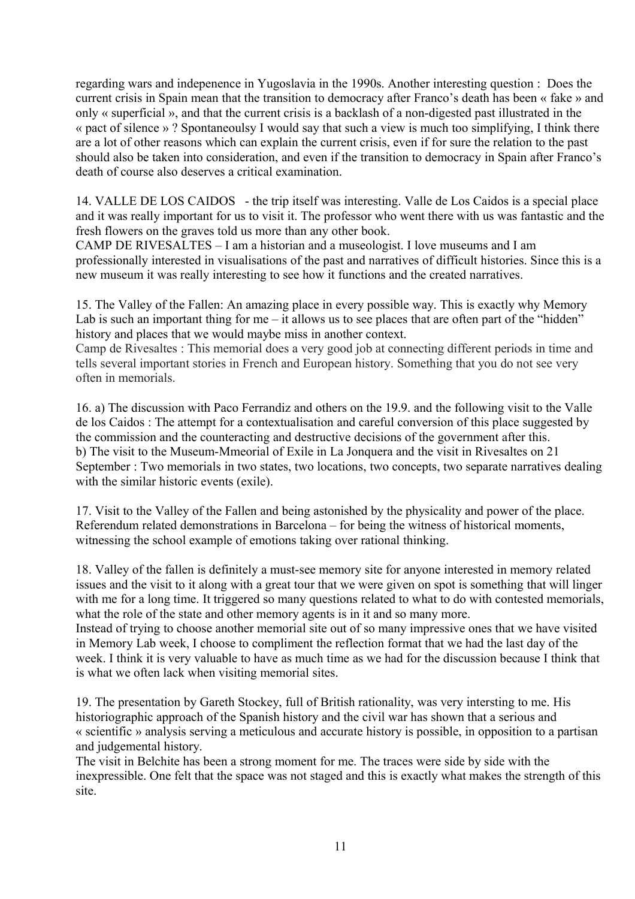regarding wars and indepenence in Yugoslavia in the 1990s. Another interesting question : Does the current crisis in Spain mean that the transition to democracy after Franco's death has been « fake » and only « superficial », and that the current crisis is a backlash of a non-digested past illustrated in the « pact of silence » ? Spontaneoulsy I would say that such a view is much too simplifying, I think there are a lot of other reasons which can explain the current crisis, even if for sure the relation to the past should also be taken into consideration, and even if the transition to democracy in Spain after Franco's death of course also deserves a critical examination.

14. VALLE DE LOS CAIDOS - the trip itself was interesting. Valle de Los Caidos is a special place and it was really important for us to visit it. The professor who went there with us was fantastic and the fresh flowers on the graves told us more than any other book.

CAMP DE RIVESALTES – I am a historian and a museologist. I love museums and I am professionally interested in visualisations of the past and narratives of difficult histories. Since this is a new museum it was really interesting to see how it functions and the created narratives.

15. The Valley of the Fallen: An amazing place in every possible way. This is exactly why Memory Lab is such an important thing for me – it allows us to see places that are often part of the "hidden" history and places that we would maybe miss in another context.

Camp de Rivesaltes : This memorial does a very good job at connecting different periods in time and tells several important stories in French and European history. Something that you do not see very often in memorials.

16. a) The discussion with Paco Ferrandiz and others on the 19.9. and the following visit to the Valle de los Caidos : The attempt for a contextualisation and careful conversion of this place suggested by the commission and the counteracting and destructive decisions of the government after this. b) The visit to the Museum-Mmeorial of Exile in La Jonquera and the visit in Rivesaltes on 21 September : Two memorials in two states, two locations, two concepts, two separate narratives dealing with the similar historic events (exile).

17. Visit to the Valley of the Fallen and being astonished by the physicality and power of the place. Referendum related demonstrations in Barcelona – for being the witness of historical moments, witnessing the school example of emotions taking over rational thinking.

18. Valley of the fallen is definitely a must-see memory site for anyone interested in memory related issues and the visit to it along with a great tour that we were given on spot is something that will linger with me for a long time. It triggered so many questions related to what to do with contested memorials, what the role of the state and other memory agents is in it and so many more.

Instead of trying to choose another memorial site out of so many impressive ones that we have visited in Memory Lab week, I choose to compliment the reflection format that we had the last day of the week. I think it is very valuable to have as much time as we had for the discussion because I think that is what we often lack when visiting memorial sites.

19. The presentation by Gareth Stockey, full of British rationality, was very intersting to me. His historiographic approach of the Spanish history and the civil war has shown that a serious and « scientific » analysis serving a meticulous and accurate history is possible, in opposition to a partisan and judgemental history.

The visit in Belchite has been a strong moment for me. The traces were side by side with the inexpressible. One felt that the space was not staged and this is exactly what makes the strength of this site.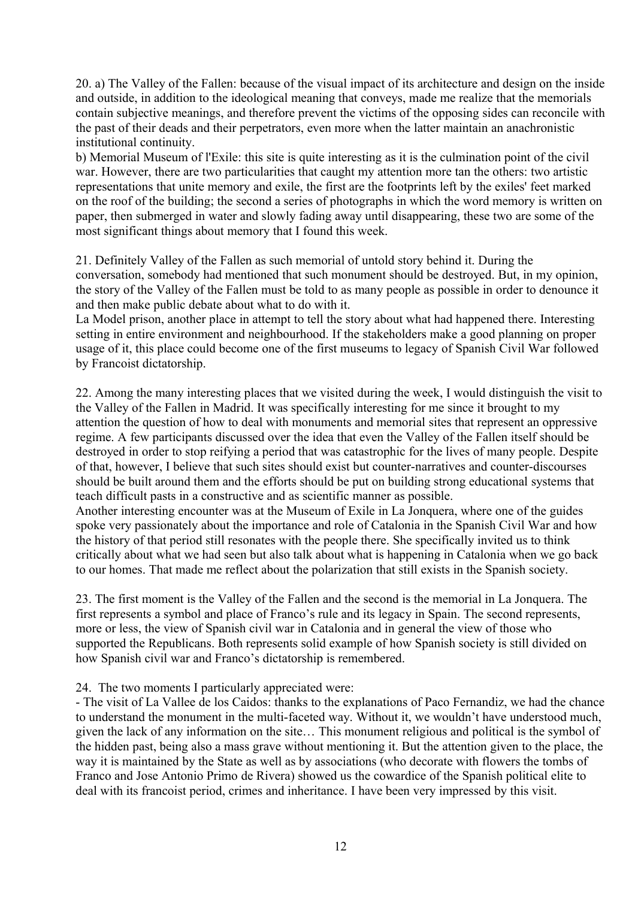20. a) The Valley of the Fallen: because of the visual impact of its architecture and design on the inside and outside, in addition to the ideological meaning that conveys, made me realize that the memorials contain subjective meanings, and therefore prevent the victims of the opposing sides can reconcile with the past of their deads and their perpetrators, even more when the latter maintain an anachronistic institutional continuity.

b) Memorial Museum of l'Exile: this site is quite interesting as it is the culmination point of the civil war. However, there are two particularities that caught my attention more tan the others: two artistic representations that unite memory and exile, the first are the footprints left by the exiles' feet marked on the roof of the building; the second a series of photographs in which the word memory is written on paper, then submerged in water and slowly fading away until disappearing, these two are some of the most significant things about memory that I found this week.

21. Definitely Valley of the Fallen as such memorial of untold story behind it. During the conversation, somebody had mentioned that such monument should be destroyed. But, in my opinion, the story of the Valley of the Fallen must be told to as many people as possible in order to denounce it and then make public debate about what to do with it.

La Model prison, another place in attempt to tell the story about what had happened there. Interesting setting in entire environment and neighbourhood. If the stakeholders make a good planning on proper usage of it, this place could become one of the first museums to legacy of Spanish Civil War followed by Francoist dictatorship.

22. Among the many interesting places that we visited during the week, I would distinguish the visit to the Valley of the Fallen in Madrid. It was specifically interesting for me since it brought to my attention the question of how to deal with monuments and memorial sites that represent an oppressive regime. A few participants discussed over the idea that even the Valley of the Fallen itself should be destroyed in order to stop reifying a period that was catastrophic for the lives of many people. Despite of that, however, I believe that such sites should exist but counter-narratives and counter-discourses should be built around them and the efforts should be put on building strong educational systems that teach difficult pasts in a constructive and as scientific manner as possible.

Another interesting encounter was at the Museum of Exile in La Jonquera, where one of the guides spoke very passionately about the importance and role of Catalonia in the Spanish Civil War and how the history of that period still resonates with the people there. She specifically invited us to think critically about what we had seen but also talk about what is happening in Catalonia when we go back to our homes. That made me reflect about the polarization that still exists in the Spanish society.

23. The first moment is the Valley of the Fallen and the second is the memorial in La Jonquera. The first represents a symbol and place of Franco's rule and its legacy in Spain. The second represents, more or less, the view of Spanish civil war in Catalonia and in general the view of those who supported the Republicans. Both represents solid example of how Spanish society is still divided on how Spanish civil war and Franco's dictatorship is remembered.

24. The two moments I particularly appreciated were:

- The visit of La Vallee de los Caidos: thanks to the explanations of Paco Fernandiz, we had the chance to understand the monument in the multi-faceted way. Without it, we wouldn't have understood much, given the lack of any information on the site… This monument religious and political is the symbol of the hidden past, being also a mass grave without mentioning it. But the attention given to the place, the way it is maintained by the State as well as by associations (who decorate with flowers the tombs of Franco and Jose Antonio Primo de Rivera) showed us the cowardice of the Spanish political elite to deal with its francoist period, crimes and inheritance. I have been very impressed by this visit.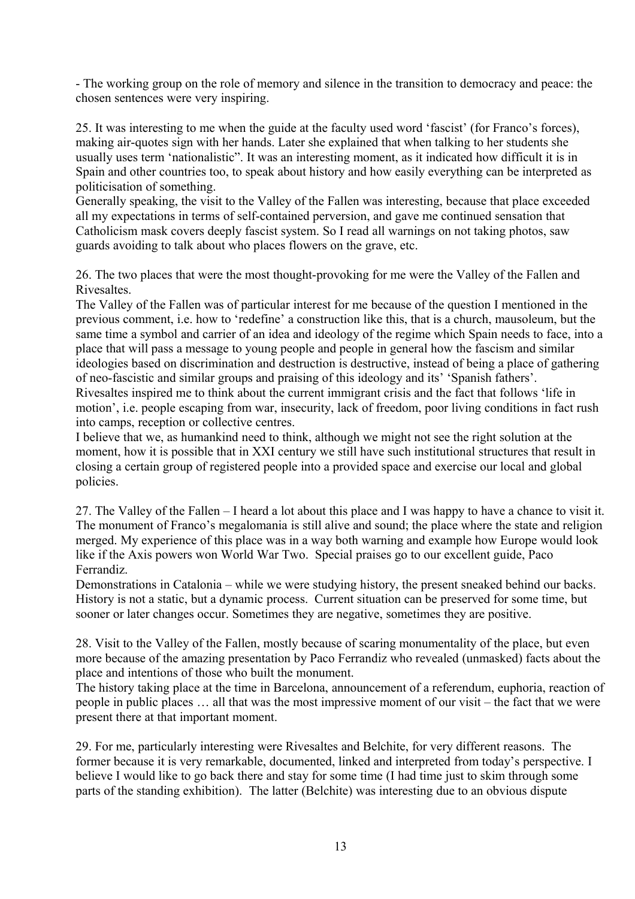- The working group on the role of memory and silence in the transition to democracy and peace: the chosen sentences were very inspiring.

25. It was interesting to me when the guide at the faculty used word 'fascist' (for Franco's forces), making air-quotes sign with her hands. Later she explained that when talking to her students she usually uses term 'nationalistic". It was an interesting moment, as it indicated how difficult it is in Spain and other countries too, to speak about history and how easily everything can be interpreted as politicisation of something.

Generally speaking, the visit to the Valley of the Fallen was interesting, because that place exceeded all my expectations in terms of self-contained perversion, and gave me continued sensation that Catholicism mask covers deeply fascist system. So I read all warnings on not taking photos, saw guards avoiding to talk about who places flowers on the grave, etc.

26. The two places that were the most thought-provoking for me were the Valley of the Fallen and Rivesaltes.

The Valley of the Fallen was of particular interest for me because of the question I mentioned in the previous comment, i.e. how to 'redefine' a construction like this, that is a church, mausoleum, but the same time a symbol and carrier of an idea and ideology of the regime which Spain needs to face, into a place that will pass a message to young people and people in general how the fascism and similar ideologies based on discrimination and destruction is destructive, instead of being a place of gathering of neo-fascistic and similar groups and praising of this ideology and its' 'Spanish fathers'. Rivesaltes inspired me to think about the current immigrant crisis and the fact that follows 'life in motion', i.e. people escaping from war, insecurity, lack of freedom, poor living conditions in fact rush into camps, reception or collective centres.

I believe that we, as humankind need to think, although we might not see the right solution at the moment, how it is possible that in XXI century we still have such institutional structures that result in closing a certain group of registered people into a provided space and exercise our local and global policies.

27. The Valley of the Fallen – I heard a lot about this place and I was happy to have a chance to visit it. The monument of Franco's megalomania is still alive and sound; the place where the state and religion merged. My experience of this place was in a way both warning and example how Europe would look like if the Axis powers won World War Two. Special praises go to our excellent guide, Paco Ferrandiz.

Demonstrations in Catalonia – while we were studying history, the present sneaked behind our backs. History is not a static, but a dynamic process. Current situation can be preserved for some time, but sooner or later changes occur. Sometimes they are negative, sometimes they are positive.

28. Visit to the Valley of the Fallen, mostly because of scaring monumentality of the place, but even more because of the amazing presentation by Paco Ferrandiz who revealed (unmasked) facts about the place and intentions of those who built the monument.

The history taking place at the time in Barcelona, announcement of a referendum, euphoria, reaction of people in public places … all that was the most impressive moment of our visit – the fact that we were present there at that important moment.

29. For me, particularly interesting were Rivesaltes and Belchite, for very different reasons. The former because it is very remarkable, documented, linked and interpreted from today's perspective. I believe I would like to go back there and stay for some time (I had time just to skim through some parts of the standing exhibition). The latter (Belchite) was interesting due to an obvious dispute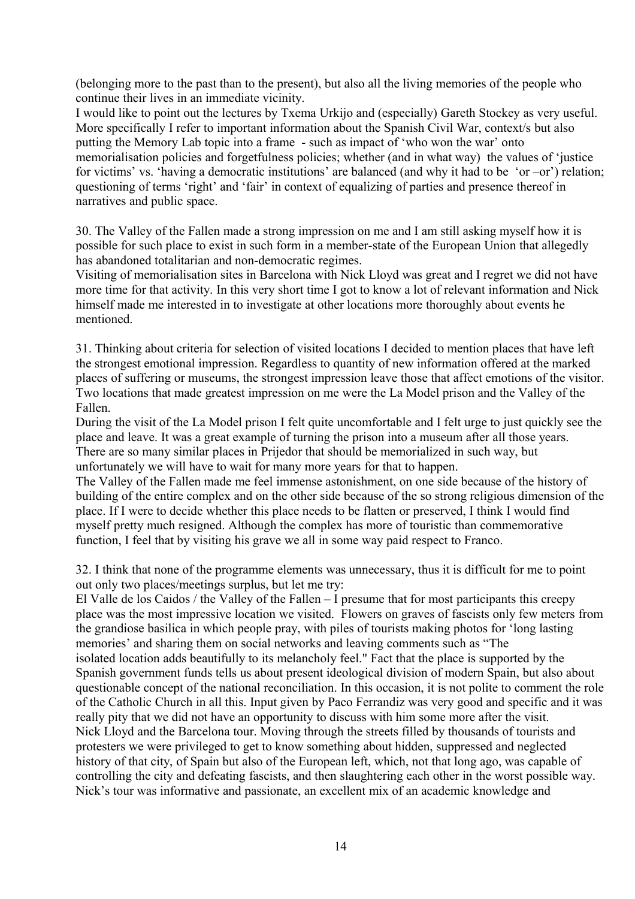(belonging more to the past than to the present), but also all the living memories of the people who continue their lives in an immediate vicinity.

I would like to point out the lectures by Txema Urkijo and (especially) Gareth Stockey as very useful. More specifically I refer to important information about the Spanish Civil War, context/s but also putting the Memory Lab topic into a frame - such as impact of 'who won the war' onto memorialisation policies and forgetfulness policies; whether (and in what way) the values of 'justice for victims' vs. 'having a democratic institutions' are balanced (and why it had to be 'or –or') relation; questioning of terms 'right' and 'fair' in context of equalizing of parties and presence thereof in narratives and public space.

30. The Valley of the Fallen made a strong impression on me and I am still asking myself how it is possible for such place to exist in such form in a member-state of the European Union that allegedly has abandoned totalitarian and non-democratic regimes.

Visiting of memorialisation sites in Barcelona with Nick Lloyd was great and I regret we did not have more time for that activity. In this very short time I got to know a lot of relevant information and Nick himself made me interested in to investigate at other locations more thoroughly about events he mentioned.

31. Thinking about criteria for selection of visited locations I decided to mention places that have left the strongest emotional impression. Regardless to quantity of new information offered at the marked places of suffering or museums, the strongest impression leave those that affect emotions of the visitor. Two locations that made greatest impression on me were the La Model prison and the Valley of the Fallen.

During the visit of the La Model prison I felt quite uncomfortable and I felt urge to just quickly see the place and leave. It was a great example of turning the prison into a museum after all those years. There are so many similar places in Prijedor that should be memorialized in such way, but unfortunately we will have to wait for many more years for that to happen.

The Valley of the Fallen made me feel immense astonishment, on one side because of the history of building of the entire complex and on the other side because of the so strong religious dimension of the place. If I were to decide whether this place needs to be flatten or preserved, I think I would find myself pretty much resigned. Although the complex has more of touristic than commemorative function, I feel that by visiting his grave we all in some way paid respect to Franco.

32. I think that none of the programme elements was unnecessary, thus it is difficult for me to point out only two places/meetings surplus, but let me try:

El Valle de los Caidos / the Valley of the Fallen – I presume that for most participants this creepy place was the most impressive location we visited. Flowers on graves of fascists only few meters from the grandiose basilica in which people pray, with piles of tourists making photos for 'long lasting memories' and sharing them on social networks and leaving comments such as "The isolated location adds beautifully to its melancholy feel." Fact that the place is supported by the Spanish government funds tells us about present ideological division of modern Spain, but also about questionable concept of the national reconciliation. In this occasion, it is not polite to comment the role of the Catholic Church in all this. Input given by Paco Ferrandiz was very good and specific and it was really pity that we did not have an opportunity to discuss with him some more after the visit. Nick Lloyd and the Barcelona tour. Moving through the streets filled by thousands of tourists and protesters we were privileged to get to know something about hidden, suppressed and neglected history of that city, of Spain but also of the European left, which, not that long ago, was capable of controlling the city and defeating fascists, and then slaughtering each other in the worst possible way. Nick's tour was informative and passionate, an excellent mix of an academic knowledge and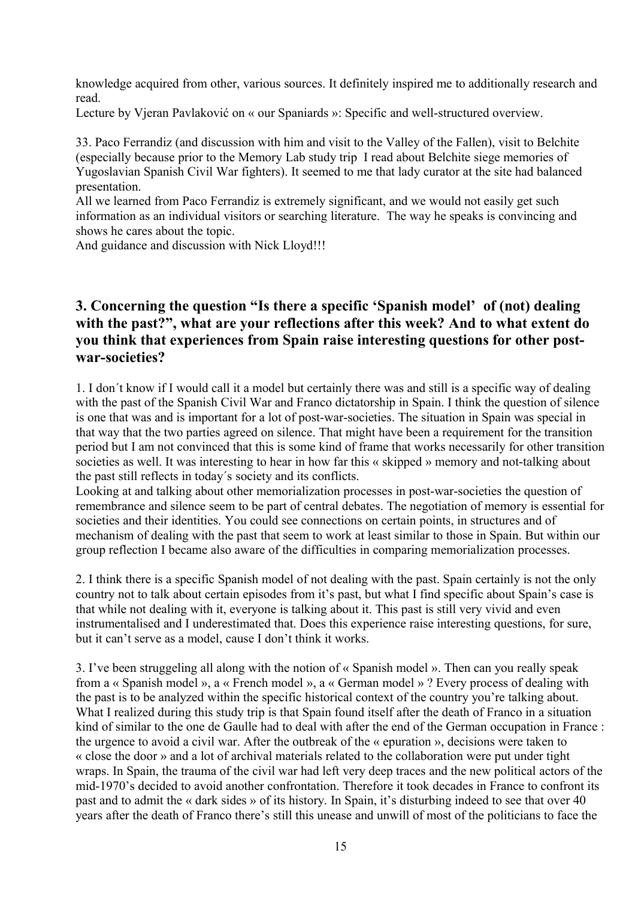knowledge acquired from other, various sources. It definitely inspired me to additionally research and read.

Lecture by Vjeran Pavlaković on « our Spaniards »: Specific and well-structured overview.

33. Paco Ferrandiz (and discussion with him and visit to the Valley of the Fallen), visit to Belchite (especially because prior to the Memory Lab study trip I read about Belchite siege memories of Yugoslavian Spanish Civil War fighters). It seemed to me that lady curator at the site had balanced presentation.

All we learned from Paco Ferrandiz is extremely significant, and we would not easily get such information as an individual visitors or searching literature. The way he speaks is convincing and shows he cares about the topic.

And guidance and discussion with Nick Lloyd!!!

# **3. Concerning the question "Is there a specific 'Spanish model' of (not) dealing with the past?", what are your reflections after this week? And to what extent do you think that experiences from Spain raise interesting questions for other postwar-societies?**

1. I don´t know if I would call it a model but certainly there was and still is a specific way of dealing with the past of the Spanish Civil War and Franco dictatorship in Spain. I think the question of silence is one that was and is important for a lot of post-war-societies. The situation in Spain was special in that way that the two parties agreed on silence. That might have been a requirement for the transition period but I am not convinced that this is some kind of frame that works necessarily for other transition societies as well. It was interesting to hear in how far this « skipped » memory and not-talking about the past still reflects in today´s society and its conflicts.

Looking at and talking about other memorialization processes in post-war-societies the question of remembrance and silence seem to be part of central debates. The negotiation of memory is essential for societies and their identities. You could see connections on certain points, in structures and of mechanism of dealing with the past that seem to work at least similar to those in Spain. But within our group reflection I became also aware of the difficulties in comparing memorialization processes.

2. I think there is a specific Spanish model of not dealing with the past. Spain certainly is not the only country not to talk about certain episodes from it's past, but what I find specific about Spain's case is that while not dealing with it, everyone is talking about it. This past is still very vivid and even instrumentalised and I underestimated that. Does this experience raise interesting questions, for sure, but it can't serve as a model, cause I don't think it works.

3. I've been struggeling all along with the notion of « Spanish model ». Then can you really speak from a « Spanish model », a « French model », a « German model » ? Every process of dealing with the past is to be analyzed within the specific historical context of the country you're talking about. What I realized during this study trip is that Spain found itself after the death of Franco in a situation kind of similar to the one de Gaulle had to deal with after the end of the German occupation in France : the urgence to avoid a civil war. After the outbreak of the « epuration », decisions were taken to « close the door » and a lot of archival materials related to the collaboration were put under tight wraps. In Spain, the trauma of the civil war had left very deep traces and the new political actors of the mid-1970's decided to avoid another confrontation. Therefore it took decades in France to confront its past and to admit the « dark sides » of its history. In Spain, it's disturbing indeed to see that over 40 years after the death of Franco there's still this unease and unwill of most of the politicians to face the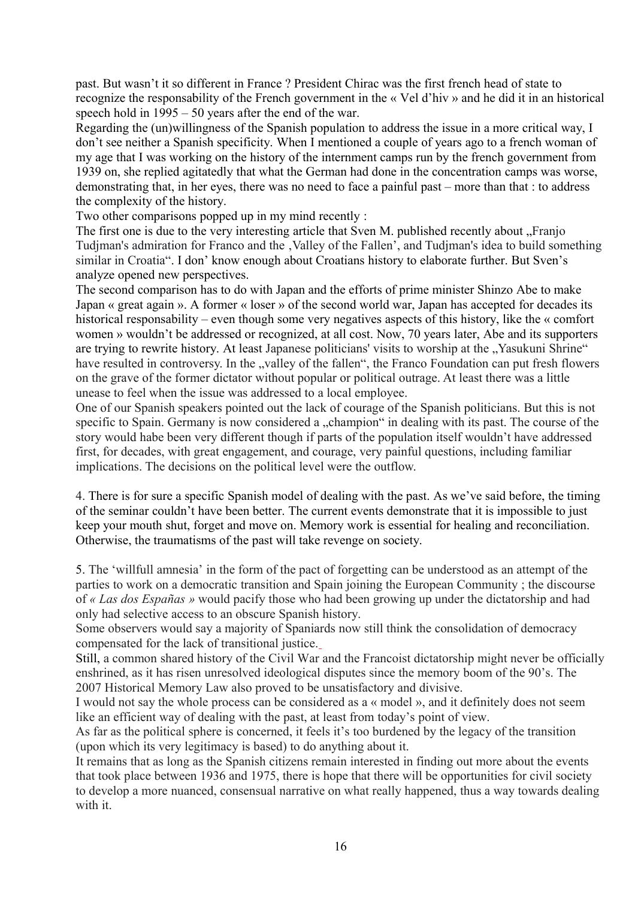past. But wasn't it so different in France ? President Chirac was the first french head of state to recognize the responsability of the French government in the « Vel d'hiv » and he did it in an historical speech hold in 1995 – 50 years after the end of the war.

Regarding the (un)willingness of the Spanish population to address the issue in a more critical way, I don't see neither a Spanish specificity. When I mentioned a couple of years ago to a french woman of my age that I was working on the history of the internment camps run by the french government from 1939 on, she replied agitatedly that what the German had done in the concentration camps was worse, demonstrating that, in her eyes, there was no need to face a painful past – more than that : to address the complexity of the history.

Two other comparisons popped up in my mind recently :

The first one is due to the very interesting article that Sven M. published recently about "Franjo Tudjman's admiration for Franco and the , Valley of the Fallen', and Tudjman's idea to build something similar in Croatia". I don' know enough about Croatians history to elaborate further. But Sven's analyze opened new perspectives.

The second comparison has to do with Japan and the efforts of prime minister Shinzo Abe to make Japan « great again ». A former « loser » of the second world war, Japan has accepted for decades its historical responsability – even though some very negatives aspects of this history, like the « comfort women » wouldn't be addressed or recognized, at all cost. Now, 70 years later, Abe and its supporters are trying to rewrite history. At least Japanese politicians' visits to worship at the "Yasukuni Shrine" have resulted in controversy. In the "valley of the fallen", the Franco Foundation can put fresh flowers on the grave of the former dictator without popular or political outrage. At least there was a little unease to feel when the issue was addressed to a local employee.

One of our Spanish speakers pointed out the lack of courage of the Spanish politicians. But this is not specific to Spain. Germany is now considered a "champion" in dealing with its past. The course of the story would habe been very different though if parts of the population itself wouldn't have addressed first, for decades, with great engagement, and courage, very painful questions, including familiar implications. The decisions on the political level were the outflow.

4. There is for sure a specific Spanish model of dealing with the past. As we've said before, the timing of the seminar couldn't have been better. The current events demonstrate that it is impossible to just keep your mouth shut, forget and move on. Memory work is essential for healing and reconciliation. Otherwise, the traumatisms of the past will take revenge on society.

5. The 'willfull amnesia' in the form of the pact of forgetting can be understood as an attempt of the parties to work on a democratic transition and Spain joining the European Community ; the discourse of *« Las dos Españas »* would pacify those who had been growing up under the dictatorship and had only had selective access to an obscure Spanish history.

Some observers would say a majority of Spaniards now still think the consolidation of democracy compensated for the lack of transitional justice.

Still, a common shared history of the Civil War and the Francoist dictatorship might never be officially enshrined, as it has risen unresolved ideological disputes since the memory boom of the 90's. The 2007 Historical Memory Law also proved to be unsatisfactory and divisive.

I would not say the whole process can be considered as a « model », and it definitely does not seem like an efficient way of dealing with the past, at least from today's point of view.

As far as the political sphere is concerned, it feels it's too burdened by the legacy of the transition (upon which its very legitimacy is based) to do anything about it.

It remains that as long as the Spanish citizens remain interested in finding out more about the events that took place between 1936 and 1975, there is hope that there will be opportunities for civil society to develop a more nuanced, consensual narrative on what really happened, thus a way towards dealing with it.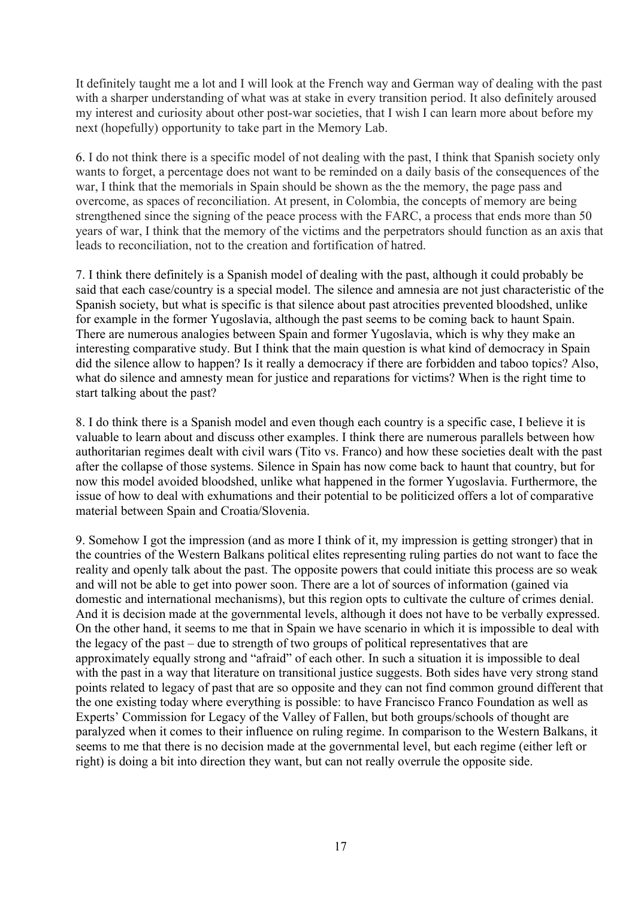It definitely taught me a lot and I will look at the French way and German way of dealing with the past with a sharper understanding of what was at stake in every transition period. It also definitely aroused my interest and curiosity about other post-war societies, that I wish I can learn more about before my next (hopefully) opportunity to take part in the Memory Lab.

6. I do not think there is a specific model of not dealing with the past, I think that Spanish society only wants to forget, a percentage does not want to be reminded on a daily basis of the consequences of the war, I think that the memorials in Spain should be shown as the the memory, the page pass and overcome, as spaces of reconciliation. At present, in Colombia, the concepts of memory are being strengthened since the signing of the peace process with the FARC, a process that ends more than 50 years of war, I think that the memory of the victims and the perpetrators should function as an axis that leads to reconciliation, not to the creation and fortification of hatred.

7. I think there definitely is a Spanish model of dealing with the past, although it could probably be said that each case/country is a special model. The silence and amnesia are not just characteristic of the Spanish society, but what is specific is that silence about past atrocities prevented bloodshed, unlike for example in the former Yugoslavia, although the past seems to be coming back to haunt Spain. There are numerous analogies between Spain and former Yugoslavia, which is why they make an interesting comparative study. But I think that the main question is what kind of democracy in Spain did the silence allow to happen? Is it really a democracy if there are forbidden and taboo topics? Also, what do silence and amnesty mean for justice and reparations for victims? When is the right time to start talking about the past?

8. I do think there is a Spanish model and even though each country is a specific case, I believe it is valuable to learn about and discuss other examples. I think there are numerous parallels between how authoritarian regimes dealt with civil wars (Tito vs. Franco) and how these societies dealt with the past after the collapse of those systems. Silence in Spain has now come back to haunt that country, but for now this model avoided bloodshed, unlike what happened in the former Yugoslavia. Furthermore, the issue of how to deal with exhumations and their potential to be politicized offers a lot of comparative material between Spain and Croatia/Slovenia.

9. Somehow I got the impression (and as more I think of it, my impression is getting stronger) that in the countries of the Western Balkans political elites representing ruling parties do not want to face the reality and openly talk about the past. The opposite powers that could initiate this process are so weak and will not be able to get into power soon. There are a lot of sources of information (gained via domestic and international mechanisms), but this region opts to cultivate the culture of crimes denial. And it is decision made at the governmental levels, although it does not have to be verbally expressed. On the other hand, it seems to me that in Spain we have scenario in which it is impossible to deal with the legacy of the past – due to strength of two groups of political representatives that are approximately equally strong and "afraid" of each other. In such a situation it is impossible to deal with the past in a way that literature on transitional justice suggests. Both sides have very strong stand points related to legacy of past that are so opposite and they can not find common ground different that the one existing today where everything is possible: to have Francisco Franco Foundation as well as Experts' Commission for Legacy of the Valley of Fallen, but both groups/schools of thought are paralyzed when it comes to their influence on ruling regime. In comparison to the Western Balkans, it seems to me that there is no decision made at the governmental level, but each regime (either left or right) is doing a bit into direction they want, but can not really overrule the opposite side.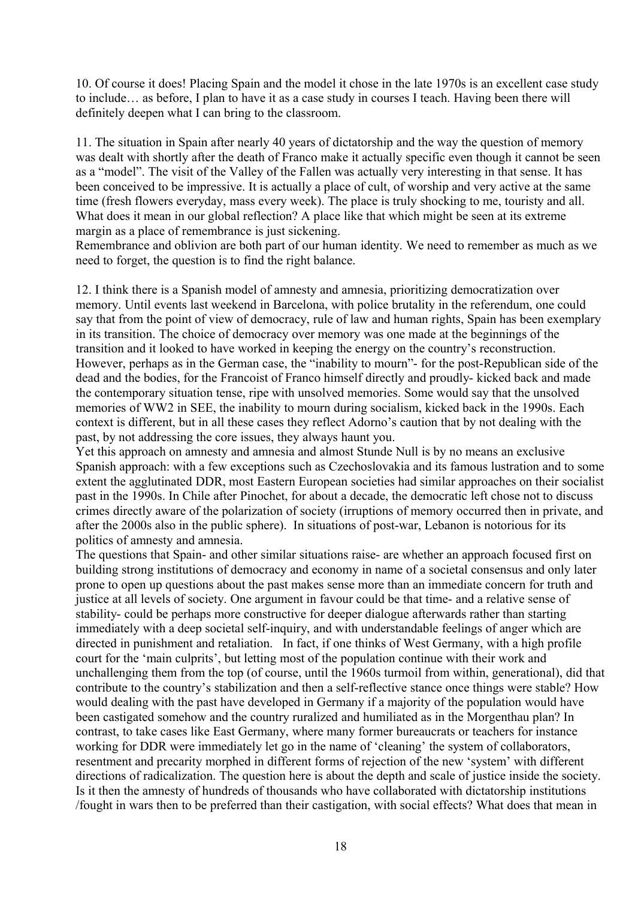10. Of course it does! Placing Spain and the model it chose in the late 1970s is an excellent case study to include… as before, I plan to have it as a case study in courses I teach. Having been there will definitely deepen what I can bring to the classroom.

11. The situation in Spain after nearly 40 years of dictatorship and the way the question of memory was dealt with shortly after the death of Franco make it actually specific even though it cannot be seen as a "model". The visit of the Valley of the Fallen was actually very interesting in that sense. It has been conceived to be impressive. It is actually a place of cult, of worship and very active at the same time (fresh flowers everyday, mass every week). The place is truly shocking to me, touristy and all. What does it mean in our global reflection? A place like that which might be seen at its extreme margin as a place of remembrance is just sickening.

Remembrance and oblivion are both part of our human identity. We need to remember as much as we need to forget, the question is to find the right balance.

12. I think there is a Spanish model of amnesty and amnesia, prioritizing democratization over memory. Until events last weekend in Barcelona, with police brutality in the referendum, one could say that from the point of view of democracy, rule of law and human rights, Spain has been exemplary in its transition. The choice of democracy over memory was one made at the beginnings of the transition and it looked to have worked in keeping the energy on the country's reconstruction. However, perhaps as in the German case, the "inability to mourn"- for the post-Republican side of the dead and the bodies, for the Francoist of Franco himself directly and proudly- kicked back and made the contemporary situation tense, ripe with unsolved memories. Some would say that the unsolved memories of WW2 in SEE, the inability to mourn during socialism, kicked back in the 1990s. Each context is different, but in all these cases they reflect Adorno's caution that by not dealing with the past, by not addressing the core issues, they always haunt you.

Yet this approach on amnesty and amnesia and almost Stunde Null is by no means an exclusive Spanish approach: with a few exceptions such as Czechoslovakia and its famous lustration and to some extent the agglutinated DDR, most Eastern European societies had similar approaches on their socialist past in the 1990s. In Chile after Pinochet, for about a decade, the democratic left chose not to discuss crimes directly aware of the polarization of society (irruptions of memory occurred then in private, and after the 2000s also in the public sphere). In situations of post-war, Lebanon is notorious for its politics of amnesty and amnesia.

The questions that Spain- and other similar situations raise- are whether an approach focused first on building strong institutions of democracy and economy in name of a societal consensus and only later prone to open up questions about the past makes sense more than an immediate concern for truth and justice at all levels of society. One argument in favour could be that time- and a relative sense of stability- could be perhaps more constructive for deeper dialogue afterwards rather than starting immediately with a deep societal self-inquiry, and with understandable feelings of anger which are directed in punishment and retaliation. In fact, if one thinks of West Germany, with a high profile court for the 'main culprits', but letting most of the population continue with their work and unchallenging them from the top (of course, until the 1960s turmoil from within, generational), did that contribute to the country's stabilization and then a self-reflective stance once things were stable? How would dealing with the past have developed in Germany if a majority of the population would have been castigated somehow and the country ruralized and humiliated as in the Morgenthau plan? In contrast, to take cases like East Germany, where many former bureaucrats or teachers for instance working for DDR were immediately let go in the name of 'cleaning' the system of collaborators, resentment and precarity morphed in different forms of rejection of the new 'system' with different directions of radicalization. The question here is about the depth and scale of justice inside the society. Is it then the amnesty of hundreds of thousands who have collaborated with dictatorship institutions /fought in wars then to be preferred than their castigation, with social effects? What does that mean in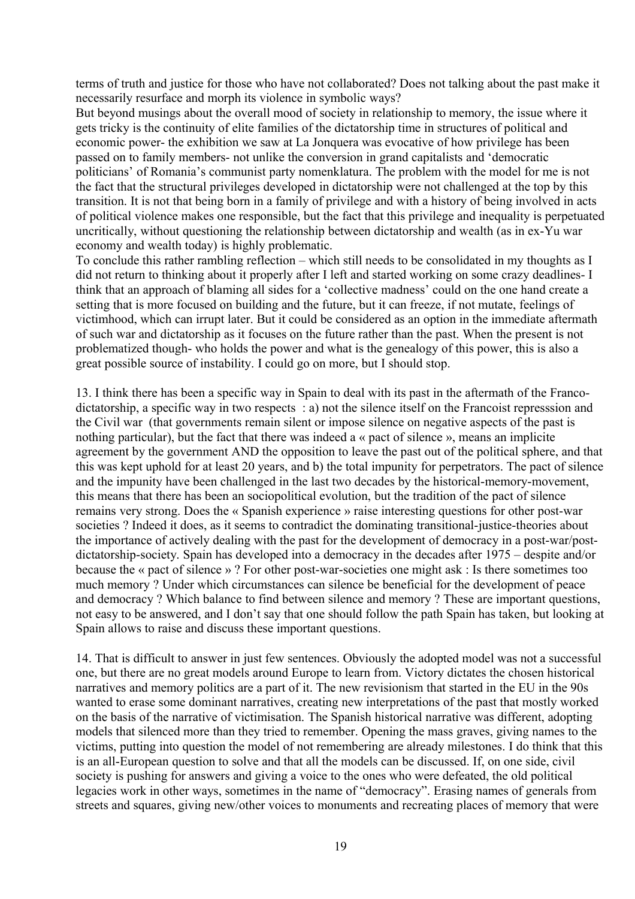terms of truth and justice for those who have not collaborated? Does not talking about the past make it necessarily resurface and morph its violence in symbolic ways?

But beyond musings about the overall mood of society in relationship to memory, the issue where it gets tricky is the continuity of elite families of the dictatorship time in structures of political and economic power- the exhibition we saw at La Jonquera was evocative of how privilege has been passed on to family members- not unlike the conversion in grand capitalists and 'democratic politicians' of Romania's communist party nomenklatura. The problem with the model for me is not the fact that the structural privileges developed in dictatorship were not challenged at the top by this transition. It is not that being born in a family of privilege and with a history of being involved in acts of political violence makes one responsible, but the fact that this privilege and inequality is perpetuated uncritically, without questioning the relationship between dictatorship and wealth (as in ex-Yu war economy and wealth today) is highly problematic.

To conclude this rather rambling reflection – which still needs to be consolidated in my thoughts as I did not return to thinking about it properly after I left and started working on some crazy deadlines- I think that an approach of blaming all sides for a 'collective madness' could on the one hand create a setting that is more focused on building and the future, but it can freeze, if not mutate, feelings of victimhood, which can irrupt later. But it could be considered as an option in the immediate aftermath of such war and dictatorship as it focuses on the future rather than the past. When the present is not problematized though- who holds the power and what is the genealogy of this power, this is also a great possible source of instability. I could go on more, but I should stop.

13. I think there has been a specific way in Spain to deal with its past in the aftermath of the Francodictatorship, a specific way in two respects : a) not the silence itself on the Francoist represssion and the Civil war (that governments remain silent or impose silence on negative aspects of the past is nothing particular), but the fact that there was indeed a « pact of silence », means an implicite agreement by the government AND the opposition to leave the past out of the political sphere, and that this was kept uphold for at least 20 years, and b) the total impunity for perpetrators. The pact of silence and the impunity have been challenged in the last two decades by the historical-memory-movement, this means that there has been an sociopolitical evolution, but the tradition of the pact of silence remains very strong. Does the « Spanish experience » raise interesting questions for other post-war societies ? Indeed it does, as it seems to contradict the dominating transitional-justice-theories about the importance of actively dealing with the past for the development of democracy in a post-war/postdictatorship-society. Spain has developed into a democracy in the decades after 1975 – despite and/or because the « pact of silence » ? For other post-war-societies one might ask : Is there sometimes too much memory ? Under which circumstances can silence be beneficial for the development of peace and democracy ? Which balance to find between silence and memory ? These are important questions, not easy to be answered, and I don't say that one should follow the path Spain has taken, but looking at Spain allows to raise and discuss these important questions.

14. That is difficult to answer in just few sentences. Obviously the adopted model was not a successful one, but there are no great models around Europe to learn from. Victory dictates the chosen historical narratives and memory politics are a part of it. The new revisionism that started in the EU in the 90s wanted to erase some dominant narratives, creating new interpretations of the past that mostly worked on the basis of the narrative of victimisation. The Spanish historical narrative was different, adopting models that silenced more than they tried to remember. Opening the mass graves, giving names to the victims, putting into question the model of not remembering are already milestones. I do think that this is an all-European question to solve and that all the models can be discussed. If, on one side, civil society is pushing for answers and giving a voice to the ones who were defeated, the old political legacies work in other ways, sometimes in the name of "democracy". Erasing names of generals from streets and squares, giving new/other voices to monuments and recreating places of memory that were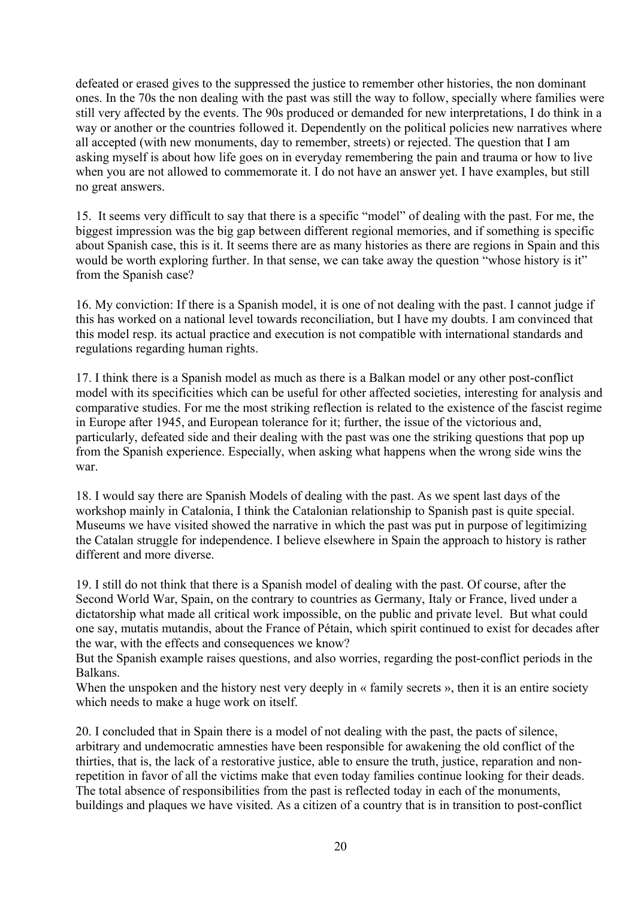defeated or erased gives to the suppressed the justice to remember other histories, the non dominant ones. In the 70s the non dealing with the past was still the way to follow, specially where families were still very affected by the events. The 90s produced or demanded for new interpretations, I do think in a way or another or the countries followed it. Dependently on the political policies new narratives where all accepted (with new monuments, day to remember, streets) or rejected. The question that I am asking myself is about how life goes on in everyday remembering the pain and trauma or how to live when you are not allowed to commemorate it. I do not have an answer yet. I have examples, but still no great answers.

15. It seems very difficult to say that there is a specific "model" of dealing with the past. For me, the biggest impression was the big gap between different regional memories, and if something is specific about Spanish case, this is it. It seems there are as many histories as there are regions in Spain and this would be worth exploring further. In that sense, we can take away the question "whose history is it" from the Spanish case?

16. My conviction: If there is a Spanish model, it is one of not dealing with the past. I cannot judge if this has worked on a national level towards reconciliation, but I have my doubts. I am convinced that this model resp. its actual practice and execution is not compatible with international standards and regulations regarding human rights.

17. I think there is a Spanish model as much as there is a Balkan model or any other post-conflict model with its specificities which can be useful for other affected societies, interesting for analysis and comparative studies. For me the most striking reflection is related to the existence of the fascist regime in Europe after 1945, and European tolerance for it; further, the issue of the victorious and, particularly, defeated side and their dealing with the past was one the striking questions that pop up from the Spanish experience. Especially, when asking what happens when the wrong side wins the war.

18. I would say there are Spanish Models of dealing with the past. As we spent last days of the workshop mainly in Catalonia, I think the Catalonian relationship to Spanish past is quite special. Museums we have visited showed the narrative in which the past was put in purpose of legitimizing the Catalan struggle for independence. I believe elsewhere in Spain the approach to history is rather different and more diverse.

19. I still do not think that there is a Spanish model of dealing with the past. Of course, after the Second World War, Spain, on the contrary to countries as Germany, Italy or France, lived under a dictatorship what made all critical work impossible, on the public and private level. But what could one say, mutatis mutandis, about the France of Pétain, which spirit continued to exist for decades after the war, with the effects and consequences we know?

But the Spanish example raises questions, and also worries, regarding the post-conflict periods in the Balkans.

When the unspoken and the history nest very deeply in « family secrets », then it is an entire society which needs to make a huge work on itself.

20. I concluded that in Spain there is a model of not dealing with the past, the pacts of silence, arbitrary and undemocratic amnesties have been responsible for awakening the old conflict of the thirties, that is, the lack of a restorative justice, able to ensure the truth, justice, reparation and nonrepetition in favor of all the victims make that even today families continue looking for their deads. The total absence of responsibilities from the past is reflected today in each of the monuments, buildings and plaques we have visited. As a citizen of a country that is in transition to post-conflict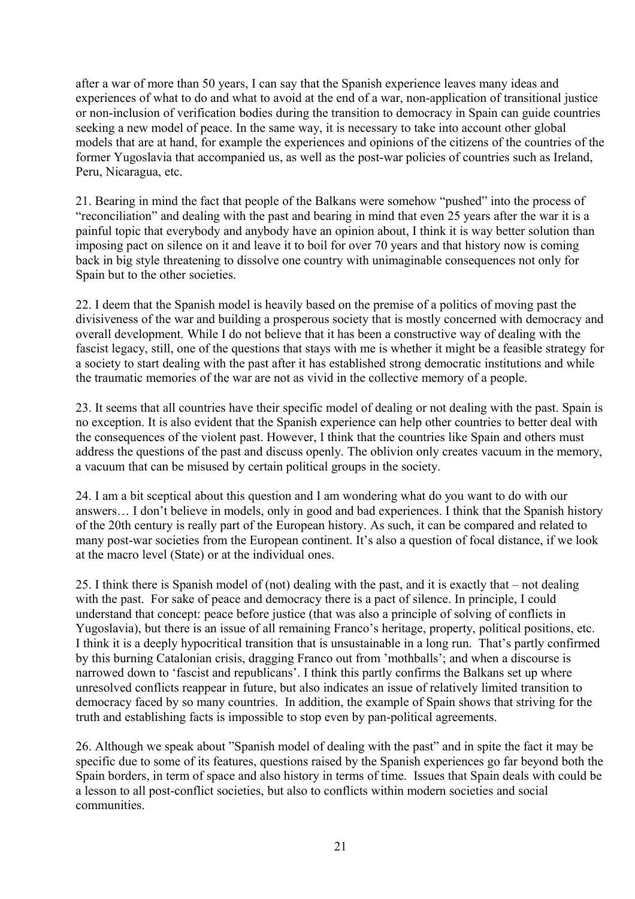after a war of more than 50 years, I can say that the Spanish experience leaves many ideas and experiences of what to do and what to avoid at the end of a war, non-application of transitional justice or non-inclusion of verification bodies during the transition to democracy in Spain can guide countries seeking a new model of peace. In the same way, it is necessary to take into account other global models that are at hand, for example the experiences and opinions of the citizens of the countries of the former Yugoslavia that accompanied us, as well as the post-war policies of countries such as Ireland, Peru, Nicaragua, etc.

21. Bearing in mind the fact that people of the Balkans were somehow "pushed" into the process of "reconciliation" and dealing with the past and bearing in mind that even 25 years after the war it is a painful topic that everybody and anybody have an opinion about, I think it is way better solution than imposing pact on silence on it and leave it to boil for over 70 years and that history now is coming back in big style threatening to dissolve one country with unimaginable consequences not only for Spain but to the other societies.

22. I deem that the Spanish model is heavily based on the premise of a politics of moving past the divisiveness of the war and building a prosperous society that is mostly concerned with democracy and overall development. While I do not believe that it has been a constructive way of dealing with the fascist legacy, still, one of the questions that stays with me is whether it might be a feasible strategy for a society to start dealing with the past after it has established strong democratic institutions and while the traumatic memories of the war are not as vivid in the collective memory of a people.

23. It seems that all countries have their specific model of dealing or not dealing with the past. Spain is no exception. It is also evident that the Spanish experience can help other countries to better deal with the consequences of the violent past. However, I think that the countries like Spain and others must address the questions of the past and discuss openly. The oblivion only creates vacuum in the memory, a vacuum that can be misused by certain political groups in the society.

24. I am a bit sceptical about this question and I am wondering what do you want to do with our answers… I don't believe in models, only in good and bad experiences. I think that the Spanish history of the 20th century is really part of the European history. As such, it can be compared and related to many post-war societies from the European continent. It's also a question of focal distance, if we look at the macro level (State) or at the individual ones.

25. I think there is Spanish model of (not) dealing with the past, and it is exactly that – not dealing with the past. For sake of peace and democracy there is a pact of silence. In principle, I could understand that concept: peace before justice (that was also a principle of solving of conflicts in Yugoslavia), but there is an issue of all remaining Franco's heritage, property, political positions, etc. I think it is a deeply hypocritical transition that is unsustainable in a long run. That's partly confirmed by this burning Catalonian crisis, dragging Franco out from 'mothballs'; and when a discourse is narrowed down to 'fascist and republicans'. I think this partly confirms the Balkans set up where unresolved conflicts reappear in future, but also indicates an issue of relatively limited transition to democracy faced by so many countries. In addition, the example of Spain shows that striving for the truth and establishing facts is impossible to stop even by pan-political agreements.

26. Although we speak about "Spanish model of dealing with the past" and in spite the fact it may be specific due to some of its features, questions raised by the Spanish experiences go far beyond both the Spain borders, in term of space and also history in terms of time. Issues that Spain deals with could be a lesson to all post-conflict societies, but also to conflicts within modern societies and social communities.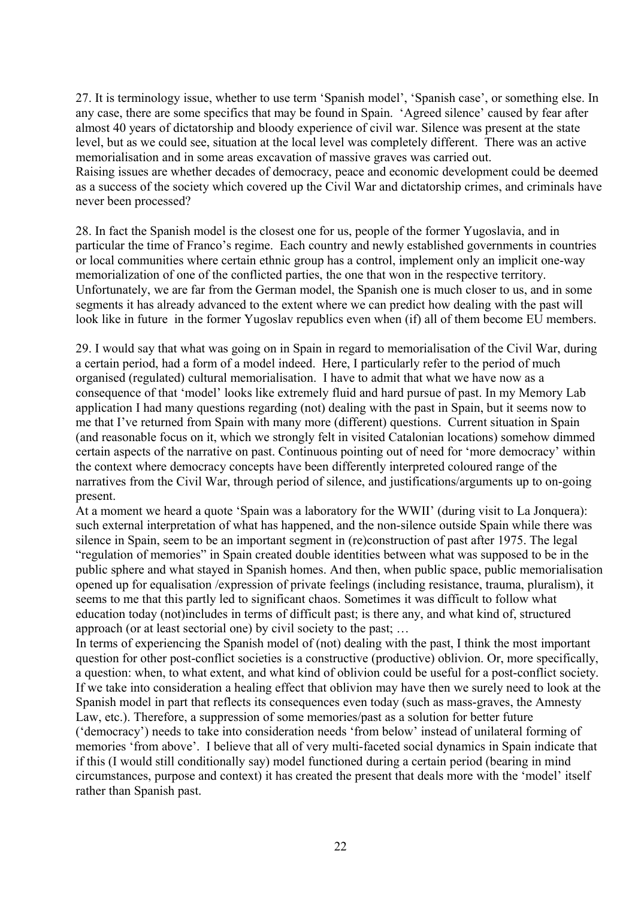27. It is terminology issue, whether to use term 'Spanish model', 'Spanish case', or something else. In any case, there are some specifics that may be found in Spain. 'Agreed silence' caused by fear after almost 40 years of dictatorship and bloody experience of civil war. Silence was present at the state level, but as we could see, situation at the local level was completely different. There was an active memorialisation and in some areas excavation of massive graves was carried out. Raising issues are whether decades of democracy, peace and economic development could be deemed as a success of the society which covered up the Civil War and dictatorship crimes, and criminals have never been processed?

28. In fact the Spanish model is the closest one for us, people of the former Yugoslavia, and in particular the time of Franco's regime. Each country and newly established governments in countries or local communities where certain ethnic group has a control, implement only an implicit one-way memorialization of one of the conflicted parties, the one that won in the respective territory. Unfortunately, we are far from the German model, the Spanish one is much closer to us, and in some segments it has already advanced to the extent where we can predict how dealing with the past will look like in future in the former Yugoslav republics even when (if) all of them become EU members.

29. I would say that what was going on in Spain in regard to memorialisation of the Civil War, during a certain period, had a form of a model indeed. Here, I particularly refer to the period of much organised (regulated) cultural memorialisation. I have to admit that what we have now as a consequence of that 'model' looks like extremely fluid and hard pursue of past. In my Memory Lab application I had many questions regarding (not) dealing with the past in Spain, but it seems now to me that I've returned from Spain with many more (different) questions. Current situation in Spain (and reasonable focus on it, which we strongly felt in visited Catalonian locations) somehow dimmed certain aspects of the narrative on past. Continuous pointing out of need for 'more democracy' within the context where democracy concepts have been differently interpreted coloured range of the narratives from the Civil War, through period of silence, and justifications/arguments up to on-going present.

At a moment we heard a quote 'Spain was a laboratory for the WWII' (during visit to La Jonquera): such external interpretation of what has happened, and the non-silence outside Spain while there was silence in Spain, seem to be an important segment in (re)construction of past after 1975. The legal "regulation of memories" in Spain created double identities between what was supposed to be in the public sphere and what stayed in Spanish homes. And then, when public space, public memorialisation opened up for equalisation /expression of private feelings (including resistance, trauma, pluralism), it seems to me that this partly led to significant chaos. Sometimes it was difficult to follow what education today (not)includes in terms of difficult past; is there any, and what kind of, structured approach (or at least sectorial one) by civil society to the past; …

In terms of experiencing the Spanish model of (not) dealing with the past, I think the most important question for other post-conflict societies is a constructive (productive) oblivion. Or, more specifically, a question: when, to what extent, and what kind of oblivion could be useful for a post-conflict society. If we take into consideration a healing effect that oblivion may have then we surely need to look at the Spanish model in part that reflects its consequences even today (such as mass-graves, the Amnesty Law, etc.). Therefore, a suppression of some memories/past as a solution for better future ('democracy') needs to take into consideration needs 'from below' instead of unilateral forming of memories 'from above'. I believe that all of very multi-faceted social dynamics in Spain indicate that if this (I would still conditionally say) model functioned during a certain period (bearing in mind circumstances, purpose and context) it has created the present that deals more with the 'model' itself rather than Spanish past.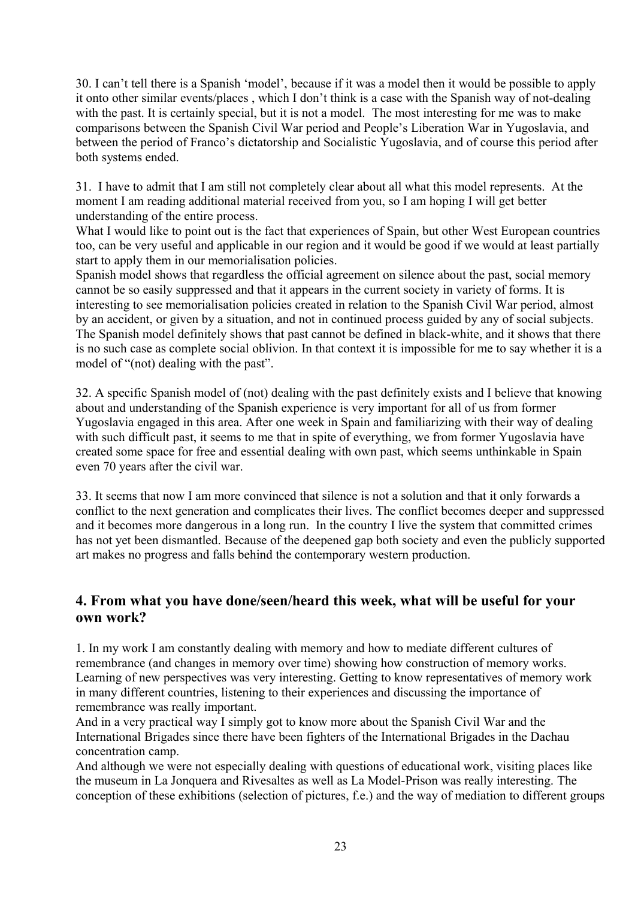30. I can't tell there is a Spanish 'model', because if it was a model then it would be possible to apply it onto other similar events/places , which I don't think is a case with the Spanish way of not-dealing with the past. It is certainly special, but it is not a model. The most interesting for me was to make comparisons between the Spanish Civil War period and People's Liberation War in Yugoslavia, and between the period of Franco's dictatorship and Socialistic Yugoslavia, and of course this period after both systems ended.

31. I have to admit that I am still not completely clear about all what this model represents. At the moment I am reading additional material received from you, so I am hoping I will get better understanding of the entire process.

What I would like to point out is the fact that experiences of Spain, but other West European countries too, can be very useful and applicable in our region and it would be good if we would at least partially start to apply them in our memorialisation policies.

Spanish model shows that regardless the official agreement on silence about the past, social memory cannot be so easily suppressed and that it appears in the current society in variety of forms. It is interesting to see memorialisation policies created in relation to the Spanish Civil War period, almost by an accident, or given by a situation, and not in continued process guided by any of social subjects. The Spanish model definitely shows that past cannot be defined in black-white, and it shows that there is no such case as complete social oblivion. In that context it is impossible for me to say whether it is a model of "(not) dealing with the past".

32. A specific Spanish model of (not) dealing with the past definitely exists and I believe that knowing about and understanding of the Spanish experience is very important for all of us from former Yugoslavia engaged in this area. After one week in Spain and familiarizing with their way of dealing with such difficult past, it seems to me that in spite of everything, we from former Yugoslavia have created some space for free and essential dealing with own past, which seems unthinkable in Spain even 70 years after the civil war.

33. It seems that now I am more convinced that silence is not a solution and that it only forwards a conflict to the next generation and complicates their lives. The conflict becomes deeper and suppressed and it becomes more dangerous in a long run. In the country I live the system that committed crimes has not yet been dismantled. Because of the deepened gap both society and even the publicly supported art makes no progress and falls behind the contemporary western production.

## **4. From what you have done/seen/heard this week, what will be useful for your own work?**

1. In my work I am constantly dealing with memory and how to mediate different cultures of remembrance (and changes in memory over time) showing how construction of memory works. Learning of new perspectives was very interesting. Getting to know representatives of memory work in many different countries, listening to their experiences and discussing the importance of remembrance was really important.

And in a very practical way I simply got to know more about the Spanish Civil War and the International Brigades since there have been fighters of the International Brigades in the Dachau concentration camp.

And although we were not especially dealing with questions of educational work, visiting places like the museum in La Jonquera and Rivesaltes as well as La Model-Prison was really interesting. The conception of these exhibitions (selection of pictures, f.e.) and the way of mediation to different groups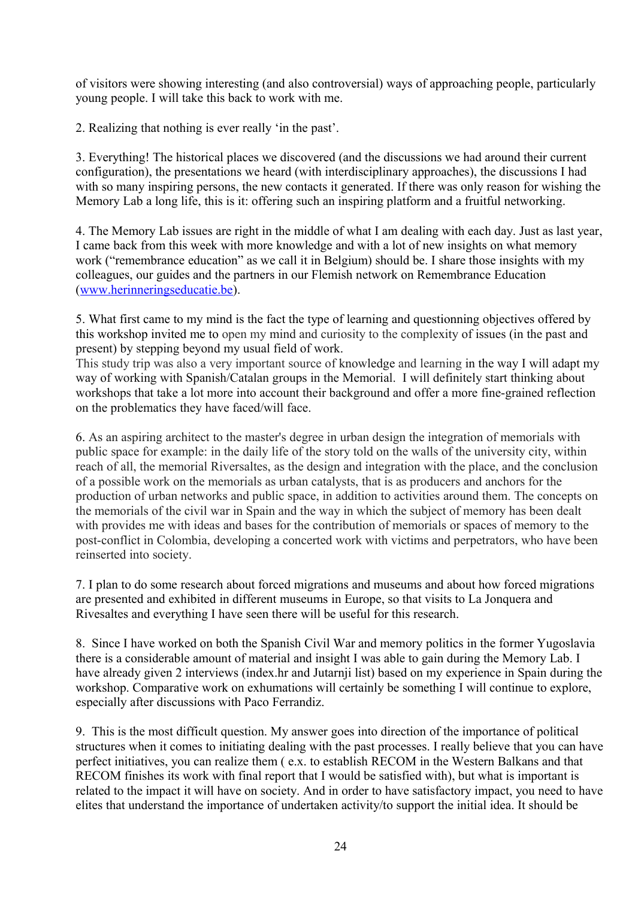of visitors were showing interesting (and also controversial) ways of approaching people, particularly young people. I will take this back to work with me.

2. Realizing that nothing is ever really 'in the past'.

3. Everything! The historical places we discovered (and the discussions we had around their current configuration), the presentations we heard (with interdisciplinary approaches), the discussions I had with so many inspiring persons, the new contacts it generated. If there was only reason for wishing the Memory Lab a long life, this is it: offering such an inspiring platform and a fruitful networking.

4. The Memory Lab issues are right in the middle of what I am dealing with each day. Just as last year, I came back from this week with more knowledge and with a lot of new insights on what memory work ("remembrance education" as we call it in Belgium) should be. I share those insights with my colleagues, our guides and the partners in our Flemish network on Remembrance Education [\(www.herinneringseducatie.be\)](http://www.herinneringseducatie.be/).

5. What first came to my mind is the fact the type of learning and questionning objectives offered by this workshop invited me to open my mind and curiosity to the complexity of issues (in the past and present) by stepping beyond my usual field of work.

This study trip was also a very important source of knowledge and learning in the way I will adapt my way of working with Spanish/Catalan groups in the Memorial. I will definitely start thinking about workshops that take a lot more into account their background and offer a more fine-grained reflection on the problematics they have faced/will face.

6. As an aspiring architect to the master's degree in urban design the integration of memorials with public space for example: in the daily life of the story told on the walls of the university city, within reach of all, the memorial Riversaltes, as the design and integration with the place, and the conclusion of a possible work on the memorials as urban catalysts, that is as producers and anchors for the production of urban networks and public space, in addition to activities around them. The concepts on the memorials of the civil war in Spain and the way in which the subject of memory has been dealt with provides me with ideas and bases for the contribution of memorials or spaces of memory to the post-conflict in Colombia, developing a concerted work with victims and perpetrators, who have been reinserted into society.

7. I plan to do some research about forced migrations and museums and about how forced migrations are presented and exhibited in different museums in Europe, so that visits to La Jonquera and Rivesaltes and everything I have seen there will be useful for this research.

8. Since I have worked on both the Spanish Civil War and memory politics in the former Yugoslavia there is a considerable amount of material and insight I was able to gain during the Memory Lab. I have already given 2 interviews (index.hr and Jutarnji list) based on my experience in Spain during the workshop. Comparative work on exhumations will certainly be something I will continue to explore, especially after discussions with Paco Ferrandiz.

9. This is the most difficult question. My answer goes into direction of the importance of political structures when it comes to initiating dealing with the past processes. I really believe that you can have perfect initiatives, you can realize them ( e.x. to establish RECOM in the Western Balkans and that RECOM finishes its work with final report that I would be satisfied with), but what is important is related to the impact it will have on society. And in order to have satisfactory impact, you need to have elites that understand the importance of undertaken activity/to support the initial idea. It should be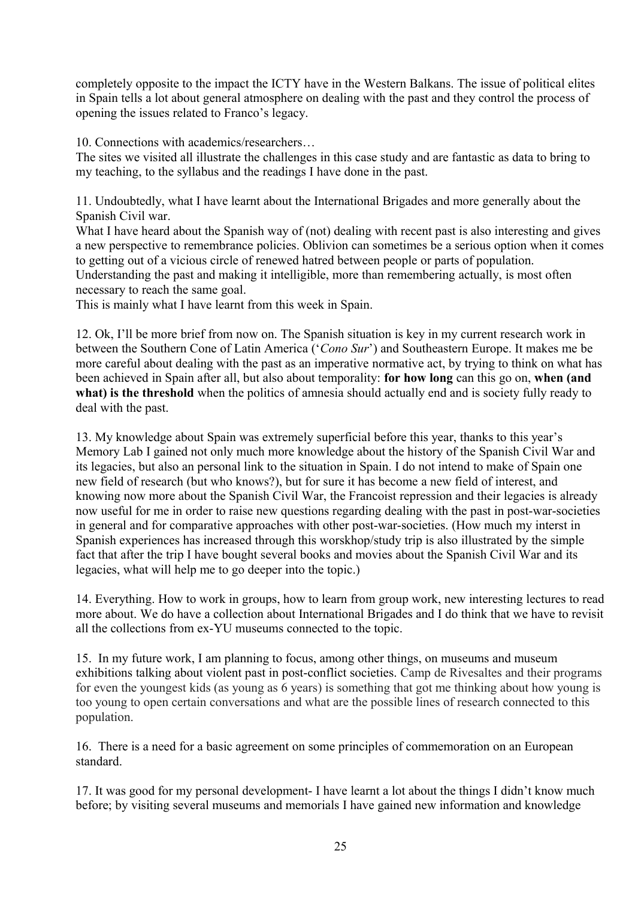completely opposite to the impact the ICTY have in the Western Balkans. The issue of political elites in Spain tells a lot about general atmosphere on dealing with the past and they control the process of opening the issues related to Franco's legacy.

10. Connections with academics/researchers…

The sites we visited all illustrate the challenges in this case study and are fantastic as data to bring to my teaching, to the syllabus and the readings I have done in the past.

11. Undoubtedly, what I have learnt about the International Brigades and more generally about the Spanish Civil war.

What I have heard about the Spanish way of (not) dealing with recent past is also interesting and gives a new perspective to remembrance policies. Oblivion can sometimes be a serious option when it comes to getting out of a vicious circle of renewed hatred between people or parts of population. Understanding the past and making it intelligible, more than remembering actually, is most often necessary to reach the same goal.

This is mainly what I have learnt from this week in Spain.

12. Ok, I'll be more brief from now on. The Spanish situation is key in my current research work in between the Southern Cone of Latin America ('*Cono Sur*') and Southeastern Europe. It makes me be more careful about dealing with the past as an imperative normative act, by trying to think on what has been achieved in Spain after all, but also about temporality: **for how long** can this go on, **when (and**  what) is the threshold when the politics of amnesia should actually end and is society fully ready to deal with the past.

13. My knowledge about Spain was extremely superficial before this year, thanks to this year's Memory Lab I gained not only much more knowledge about the history of the Spanish Civil War and its legacies, but also an personal link to the situation in Spain. I do not intend to make of Spain one new field of research (but who knows?), but for sure it has become a new field of interest, and knowing now more about the Spanish Civil War, the Francoist repression and their legacies is already now useful for me in order to raise new questions regarding dealing with the past in post-war-societies in general and for comparative approaches with other post-war-societies. (How much my interst in Spanish experiences has increased through this worskhop/study trip is also illustrated by the simple fact that after the trip I have bought several books and movies about the Spanish Civil War and its legacies, what will help me to go deeper into the topic.)

14. Everything. How to work in groups, how to learn from group work, new interesting lectures to read more about. We do have a collection about International Brigades and I do think that we have to revisit all the collections from ex-YU museums connected to the topic.

15. In my future work, I am planning to focus, among other things, on museums and museum exhibitions talking about violent past in post-conflict societies. Camp de Rivesaltes and their programs for even the youngest kids (as young as 6 years) is something that got me thinking about how young is too young to open certain conversations and what are the possible lines of research connected to this population.

16. There is a need for a basic agreement on some principles of commemoration on an European standard.

17. It was good for my personal development- I have learnt a lot about the things I didn't know much before; by visiting several museums and memorials I have gained new information and knowledge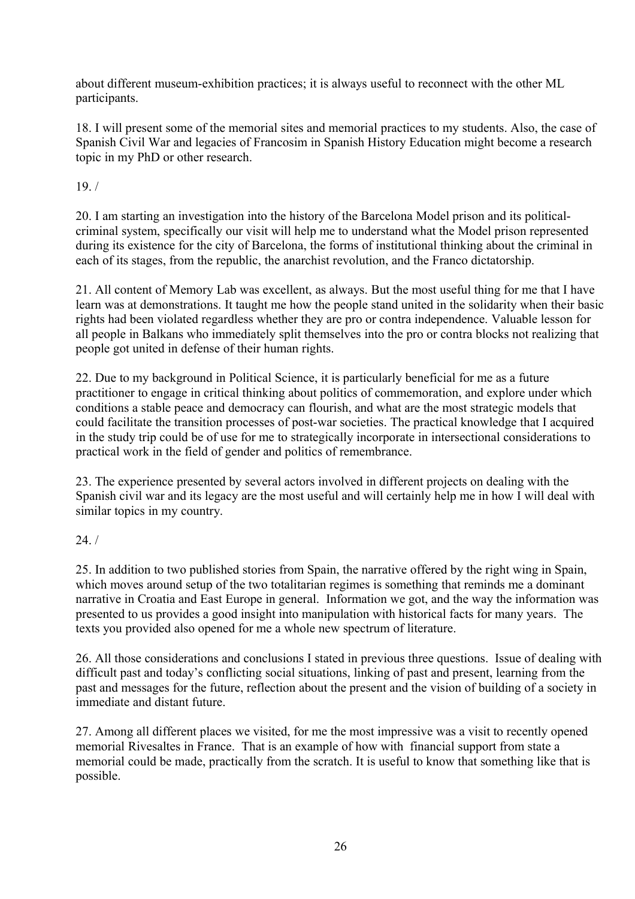about different museum-exhibition practices; it is always useful to reconnect with the other ML participants.

18. I will present some of the memorial sites and memorial practices to my students. Also, the case of Spanish Civil War and legacies of Francosim in Spanish History Education might become a research topic in my PhD or other research.

19. /

20. I am starting an investigation into the history of the Barcelona Model prison and its politicalcriminal system, specifically our visit will help me to understand what the Model prison represented during its existence for the city of Barcelona, the forms of institutional thinking about the criminal in each of its stages, from the republic, the anarchist revolution, and the Franco dictatorship.

21. All content of Memory Lab was excellent, as always. But the most useful thing for me that I have learn was at demonstrations. It taught me how the people stand united in the solidarity when their basic rights had been violated regardless whether they are pro or contra independence. Valuable lesson for all people in Balkans who immediately split themselves into the pro or contra blocks not realizing that people got united in defense of their human rights.

22. Due to my background in Political Science, it is particularly beneficial for me as a future practitioner to engage in critical thinking about politics of commemoration, and explore under which conditions a stable peace and democracy can flourish, and what are the most strategic models that could facilitate the transition processes of post-war societies. The practical knowledge that I acquired in the study trip could be of use for me to strategically incorporate in intersectional considerations to practical work in the field of gender and politics of remembrance.

23. The experience presented by several actors involved in different projects on dealing with the Spanish civil war and its legacy are the most useful and will certainly help me in how I will deal with similar topics in my country.

24. /

25. In addition to two published stories from Spain, the narrative offered by the right wing in Spain, which moves around setup of the two totalitarian regimes is something that reminds me a dominant narrative in Croatia and East Europe in general. Information we got, and the way the information was presented to us provides a good insight into manipulation with historical facts for many years. The texts you provided also opened for me a whole new spectrum of literature.

26. All those considerations and conclusions I stated in previous three questions. Issue of dealing with difficult past and today's conflicting social situations, linking of past and present, learning from the past and messages for the future, reflection about the present and the vision of building of a society in immediate and distant future.

27. Among all different places we visited, for me the most impressive was a visit to recently opened memorial Rivesaltes in France. That is an example of how with financial support from state a memorial could be made, practically from the scratch. It is useful to know that something like that is possible.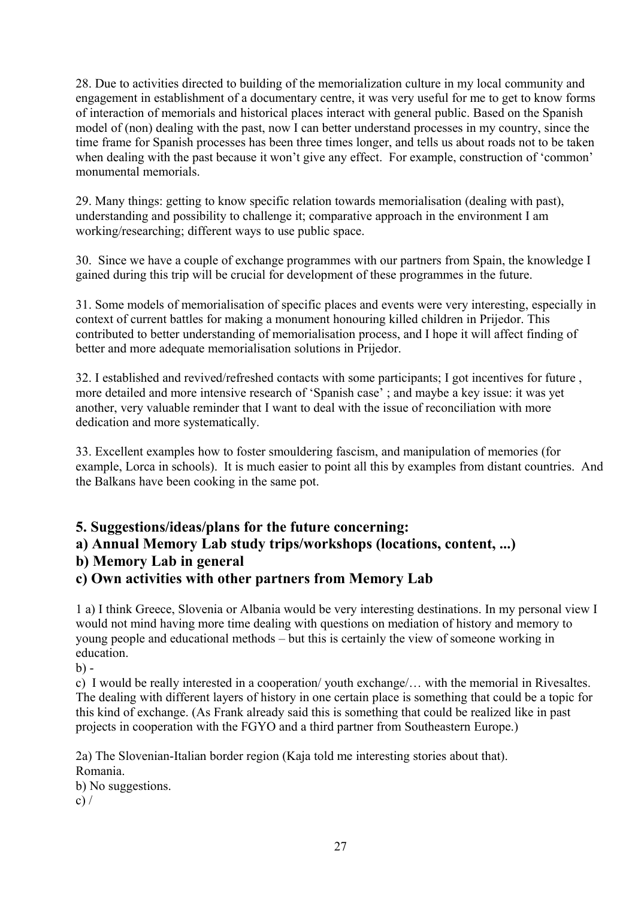28. Due to activities directed to building of the memorialization culture in my local community and engagement in establishment of a documentary centre, it was very useful for me to get to know forms of interaction of memorials and historical places interact with general public. Based on the Spanish model of (non) dealing with the past, now I can better understand processes in my country, since the time frame for Spanish processes has been three times longer, and tells us about roads not to be taken when dealing with the past because it won't give any effect. For example, construction of 'common' monumental memorials.

29. Many things: getting to know specific relation towards memorialisation (dealing with past), understanding and possibility to challenge it; comparative approach in the environment I am working/researching; different ways to use public space.

30. Since we have a couple of exchange programmes with our partners from Spain, the knowledge I gained during this trip will be crucial for development of these programmes in the future.

31. Some models of memorialisation of specific places and events were very interesting, especially in context of current battles for making a monument honouring killed children in Prijedor. This contributed to better understanding of memorialisation process, and I hope it will affect finding of better and more adequate memorialisation solutions in Prijedor.

32. I established and revived/refreshed contacts with some participants; I got incentives for future , more detailed and more intensive research of 'Spanish case' ; and maybe a key issue: it was yet another, very valuable reminder that I want to deal with the issue of reconciliation with more dedication and more systematically.

33. Excellent examples how to foster smouldering fascism, and manipulation of memories (for example, Lorca in schools). It is much easier to point all this by examples from distant countries. And the Balkans have been cooking in the same pot.

**5. Suggestions/ideas/plans for the future concerning:**

**a) Annual Memory Lab study trips/workshops (locations, content, ...)** 

## **b) Memory Lab in general**

**c) Own activities with other partners from Memory Lab**

1 a) I think Greece, Slovenia or Albania would be very interesting destinations. In my personal view I would not mind having more time dealing with questions on mediation of history and memory to young people and educational methods – but this is certainly the view of someone working in education.

 $b) -$ 

c) I would be really interested in a cooperation/ youth exchange/… with the memorial in Rivesaltes. The dealing with different layers of history in one certain place is something that could be a topic for this kind of exchange. (As Frank already said this is something that could be realized like in past projects in cooperation with the FGYO and a third partner from Southeastern Europe.)

2a) The Slovenian-Italian border region (Kaja told me interesting stories about that). Romania.

b) No suggestions. c)  $/$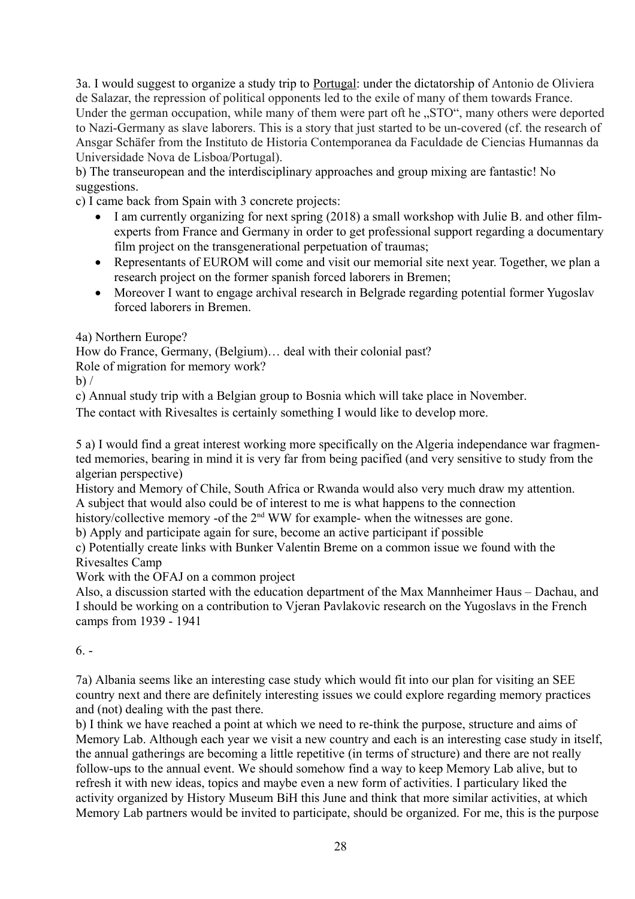3a. I would suggest to organize a study trip to Portugal: under the dictatorship of Antonio de Oliviera de Salazar, the repression of political opponents led to the exile of many of them towards France. Under the german occupation, while many of them were part oft he ...STO", many others were deported to Nazi-Germany as slave laborers. This is a story that just started to be un-covered (cf. the research of Ansgar Schäfer from the Instituto de Historia Contemporanea da Faculdade de Ciencias Humannas da Universidade Nova de Lisboa/Portugal).

b) The transeuropean and the interdisciplinary approaches and group mixing are fantastic! No suggestions.

c) I came back from Spain with 3 concrete projects:

- I am currently organizing for next spring (2018) a small workshop with Julie B. and other filmexperts from France and Germany in order to get professional support regarding a documentary film project on the transgenerational perpetuation of traumas;
- Representants of EUROM will come and visit our memorial site next year. Together, we plan a research project on the former spanish forced laborers in Bremen;
- Moreover I want to engage archival research in Belgrade regarding potential former Yugoslav forced laborers in Bremen.

4a) Northern Europe?

How do France, Germany, (Belgium)… deal with their colonial past?

Role of migration for memory work?

 $b)$  /

c) Annual study trip with a Belgian group to Bosnia which will take place in November.

The contact with Rivesaltes is certainly something I would like to develop more.

5 a) I would find a great interest working more specifically on the Algeria independance war fragmented memories, bearing in mind it is very far from being pacified (and very sensitive to study from the algerian perspective)

History and Memory of Chile, South Africa or Rwanda would also very much draw my attention. A subject that would also could be of interest to me is what happens to the connection

history/collective memory -of the 2<sup>nd</sup> WW for example- when the witnesses are gone.

b) Apply and participate again for sure, become an active participant if possible

c) Potentially create links with Bunker Valentin Breme on a common issue we found with the

Rivesaltes Camp

Work with the OFAJ on a common project

Also, a discussion started with the education department of the Max Mannheimer Haus – Dachau, and I should be working on a contribution to Vjeran Pavlakovic research on the Yugoslavs in the French camps from 1939 - 1941

#### $6. -$

7a) Albania seems like an interesting case study which would fit into our plan for visiting an SEE country next and there are definitely interesting issues we could explore regarding memory practices and (not) dealing with the past there.

b) I think we have reached a point at which we need to re-think the purpose, structure and aims of Memory Lab. Although each year we visit a new country and each is an interesting case study in itself, the annual gatherings are becoming a little repetitive (in terms of structure) and there are not really follow-ups to the annual event. We should somehow find a way to keep Memory Lab alive, but to refresh it with new ideas, topics and maybe even a new form of activities. I particulary liked the activity organized by History Museum BiH this June and think that more similar activities, at which Memory Lab partners would be invited to participate, should be organized. For me, this is the purpose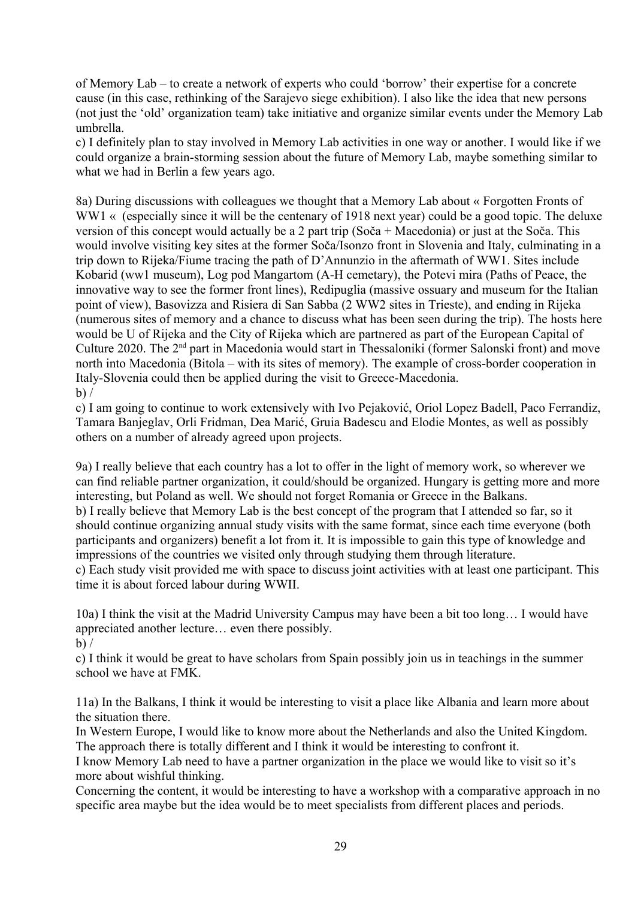of Memory Lab – to create a network of experts who could 'borrow' their expertise for a concrete cause (in this case, rethinking of the Sarajevo siege exhibition). I also like the idea that new persons (not just the 'old' organization team) take initiative and organize similar events under the Memory Lab umbrella.

c) I definitely plan to stay involved in Memory Lab activities in one way or another. I would like if we could organize a brain-storming session about the future of Memory Lab, maybe something similar to what we had in Berlin a few years ago.

8a) During discussions with colleagues we thought that a Memory Lab about « Forgotten Fronts of WW1 « (especially since it will be the centenary of 1918 next year) could be a good topic. The deluxe version of this concept would actually be a 2 part trip (Soča + Macedonia) or just at the Soča. This would involve visiting key sites at the former Soča/Isonzo front in Slovenia and Italy, culminating in a trip down to Rijeka/Fiume tracing the path of D'Annunzio in the aftermath of WW1. Sites include Kobarid (ww1 museum), Log pod Mangartom (A-H cemetary), the Potevi mira (Paths of Peace, the innovative way to see the former front lines), Redipuglia (massive ossuary and museum for the Italian point of view), Basovizza and Risiera di San Sabba (2 WW2 sites in Trieste), and ending in Rijeka (numerous sites of memory and a chance to discuss what has been seen during the trip). The hosts here would be U of Rijeka and the City of Rijeka which are partnered as part of the European Capital of Culture 2020. The 2nd part in Macedonia would start in Thessaloniki (former Salonski front) and move north into Macedonia (Bitola – with its sites of memory). The example of cross-border cooperation in Italy-Slovenia could then be applied during the visit to Greece-Macedonia.  $b)$  /

c) I am going to continue to work extensively with Ivo Pejaković, Oriol Lopez Badell, Paco Ferrandiz, Tamara Banjeglav, Orli Fridman, Dea Marić, Gruia Badescu and Elodie Montes, as well as possibly others on a number of already agreed upon projects.

9a) I really believe that each country has a lot to offer in the light of memory work, so wherever we can find reliable partner organization, it could/should be organized. Hungary is getting more and more interesting, but Poland as well. We should not forget Romania or Greece in the Balkans. b) I really believe that Memory Lab is the best concept of the program that I attended so far, so it should continue organizing annual study visits with the same format, since each time everyone (both participants and organizers) benefit a lot from it. It is impossible to gain this type of knowledge and impressions of the countries we visited only through studying them through literature.

c) Each study visit provided me with space to discuss joint activities with at least one participant. This time it is about forced labour during WWII.

10a) I think the visit at the Madrid University Campus may have been a bit too long… I would have appreciated another lecture… even there possibly.  $b)$  /

c) I think it would be great to have scholars from Spain possibly join us in teachings in the summer

school we have at FMK.

11a) In the Balkans, I think it would be interesting to visit a place like Albania and learn more about the situation there.

In Western Europe, I would like to know more about the Netherlands and also the United Kingdom. The approach there is totally different and I think it would be interesting to confront it.

I know Memory Lab need to have a partner organization in the place we would like to visit so it's more about wishful thinking.

Concerning the content, it would be interesting to have a workshop with a comparative approach in no specific area maybe but the idea would be to meet specialists from different places and periods.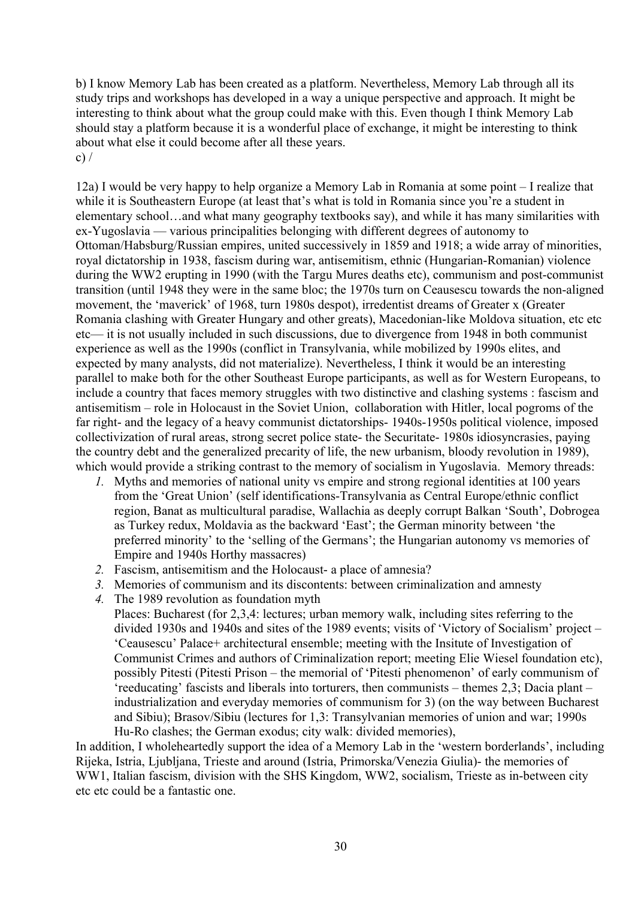b) I know Memory Lab has been created as a platform. Nevertheless, Memory Lab through all its study trips and workshops has developed in a way a unique perspective and approach. It might be interesting to think about what the group could make with this. Even though I think Memory Lab should stay a platform because it is a wonderful place of exchange, it might be interesting to think about what else it could become after all these years. c)  $/$ 

12a) I would be very happy to help organize a Memory Lab in Romania at some point – I realize that while it is Southeastern Europe (at least that's what is told in Romania since you're a student in elementary school…and what many geography textbooks say), and while it has many similarities with ex-Yugoslavia — various principalities belonging with different degrees of autonomy to Ottoman/Habsburg/Russian empires, united successively in 1859 and 1918; a wide array of minorities, royal dictatorship in 1938, fascism during war, antisemitism, ethnic (Hungarian-Romanian) violence during the WW2 erupting in 1990 (with the Targu Mures deaths etc), communism and post-communist transition (until 1948 they were in the same bloc; the 1970s turn on Ceausescu towards the non-aligned movement, the 'maverick' of 1968, turn 1980s despot), irredentist dreams of Greater x (Greater Romania clashing with Greater Hungary and other greats), Macedonian-like Moldova situation, etc etc etc— it is not usually included in such discussions, due to divergence from 1948 in both communist experience as well as the 1990s (conflict in Transylvania, while mobilized by 1990s elites, and expected by many analysts, did not materialize). Nevertheless, I think it would be an interesting parallel to make both for the other Southeast Europe participants, as well as for Western Europeans, to include a country that faces memory struggles with two distinctive and clashing systems : fascism and antisemitism – role in Holocaust in the Soviet Union, collaboration with Hitler, local pogroms of the far right- and the legacy of a heavy communist dictatorships- 1940s-1950s political violence, imposed collectivization of rural areas, strong secret police state- the Securitate- 1980s idiosyncrasies, paying the country debt and the generalized precarity of life, the new urbanism, bloody revolution in 1989), which would provide a striking contrast to the memory of socialism in Yugoslavia. Memory threads:

- *1.* Myths and memories of national unity vs empire and strong regional identities at 100 years from the 'Great Union' (self identifications-Transylvania as Central Europe/ethnic conflict region, Banat as multicultural paradise, Wallachia as deeply corrupt Balkan 'South', Dobrogea as Turkey redux, Moldavia as the backward 'East'; the German minority between 'the preferred minority' to the 'selling of the Germans'; the Hungarian autonomy vs memories of Empire and 1940s Horthy massacres)
- *2.* Fascism, antisemitism and the Holocaust- a place of amnesia?
- *3.* Memories of communism and its discontents: between criminalization and amnesty
- *4.* The 1989 revolution as foundation myth

Places: Bucharest (for 2,3,4: lectures; urban memory walk, including sites referring to the divided 1930s and 1940s and sites of the 1989 events; visits of 'Victory of Socialism' project – 'Ceausescu' Palace+ architectural ensemble; meeting with the Insitute of Investigation of Communist Crimes and authors of Criminalization report; meeting Elie Wiesel foundation etc), possibly Pitesti (Pitesti Prison – the memorial of 'Pitesti phenomenon' of early communism of 'reeducating' fascists and liberals into torturers, then communists – themes 2,3; Dacia plant – industrialization and everyday memories of communism for 3) (on the way between Bucharest and Sibiu); Brasov/Sibiu (lectures for 1,3: Transylvanian memories of union and war; 1990s Hu-Ro clashes; the German exodus; city walk: divided memories),

In addition, I wholeheartedly support the idea of a Memory Lab in the 'western borderlands', including Rijeka, Istria, Ljubljana, Trieste and around (Istria, Primorska/Venezia Giulia)- the memories of WW1, Italian fascism, division with the SHS Kingdom, WW2, socialism, Trieste as in-between city etc etc could be a fantastic one.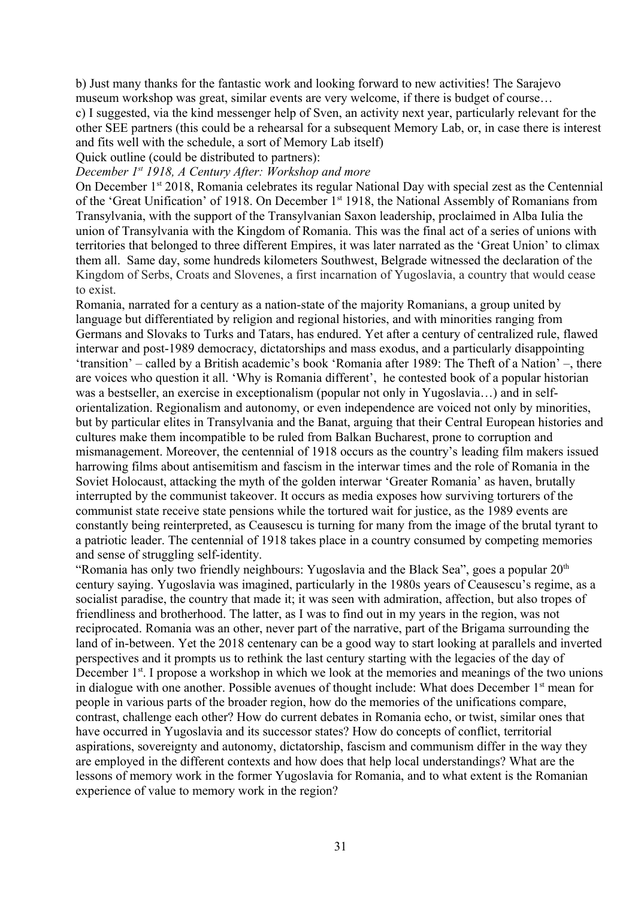b) Just many thanks for the fantastic work and looking forward to new activities! The Sarajevo museum workshop was great, similar events are very welcome, if there is budget of course… c) I suggested, via the kind messenger help of Sven, an activity next year, particularly relevant for the other SEE partners (this could be a rehearsal for a subsequent Memory Lab, or, in case there is interest and fits well with the schedule, a sort of Memory Lab itself)

Quick outline (could be distributed to partners):

*December 1st 1918, A Century After: Workshop and more*

On December 1<sup>st</sup> 2018, Romania celebrates its regular National Day with special zest as the Centennial of the 'Great Unification' of 1918. On December 1st 1918, the National Assembly of Romanians from Transylvania, with the support of the Transylvanian Saxon leadership, proclaimed in Alba Iulia the union of Transylvania with the Kingdom of Romania. This was the final act of a series of unions with territories that belonged to three different Empires, it was later narrated as the 'Great Union' to climax them all. Same day, some hundreds kilometers Southwest, Belgrade witnessed the declaration of the Kingdom of Serbs, Croats and Slovenes, a first incarnation of Yugoslavia, a country that would cease to exist.

Romania, narrated for a century as a nation-state of the majority Romanians, a group united by language but differentiated by religion and regional histories, and with minorities ranging from Germans and Slovaks to Turks and Tatars, has endured. Yet after a century of centralized rule, flawed interwar and post-1989 democracy, dictatorships and mass exodus, and a particularly disappointing 'transition' – called by a British academic's book 'Romania after 1989: The Theft of a Nation' –, there are voices who question it all. 'Why is Romania different', he contested book of a popular historian was a bestseller, an exercise in exceptionalism (popular not only in Yugoslavia…) and in selforientalization. Regionalism and autonomy, or even independence are voiced not only by minorities, but by particular elites in Transylvania and the Banat, arguing that their Central European histories and cultures make them incompatible to be ruled from Balkan Bucharest, prone to corruption and mismanagement. Moreover, the centennial of 1918 occurs as the country's leading film makers issued harrowing films about antisemitism and fascism in the interwar times and the role of Romania in the Soviet Holocaust, attacking the myth of the golden interwar 'Greater Romania' as haven, brutally interrupted by the communist takeover. It occurs as media exposes how surviving torturers of the communist state receive state pensions while the tortured wait for justice, as the 1989 events are constantly being reinterpreted, as Ceausescu is turning for many from the image of the brutal tyrant to a patriotic leader. The centennial of 1918 takes place in a country consumed by competing memories and sense of struggling self-identity.

"Romania has only two friendly neighbours: Yugoslavia and the Black Sea", goes a popular  $20<sup>th</sup>$ century saying. Yugoslavia was imagined, particularly in the 1980s years of Ceausescu's regime, as a socialist paradise, the country that made it; it was seen with admiration, affection, but also tropes of friendliness and brotherhood. The latter, as I was to find out in my years in the region, was not reciprocated. Romania was an other, never part of the narrative, part of the Brigama surrounding the land of in-between. Yet the 2018 centenary can be a good way to start looking at parallels and inverted perspectives and it prompts us to rethink the last century starting with the legacies of the day of December 1<sup>st</sup>. I propose a workshop in which we look at the memories and meanings of the two unions in dialogue with one another. Possible avenues of thought include: What does December  $1<sup>st</sup>$  mean for people in various parts of the broader region, how do the memories of the unifications compare, contrast, challenge each other? How do current debates in Romania echo, or twist, similar ones that have occurred in Yugoslavia and its successor states? How do concepts of conflict, territorial aspirations, sovereignty and autonomy, dictatorship, fascism and communism differ in the way they are employed in the different contexts and how does that help local understandings? What are the lessons of memory work in the former Yugoslavia for Romania, and to what extent is the Romanian experience of value to memory work in the region?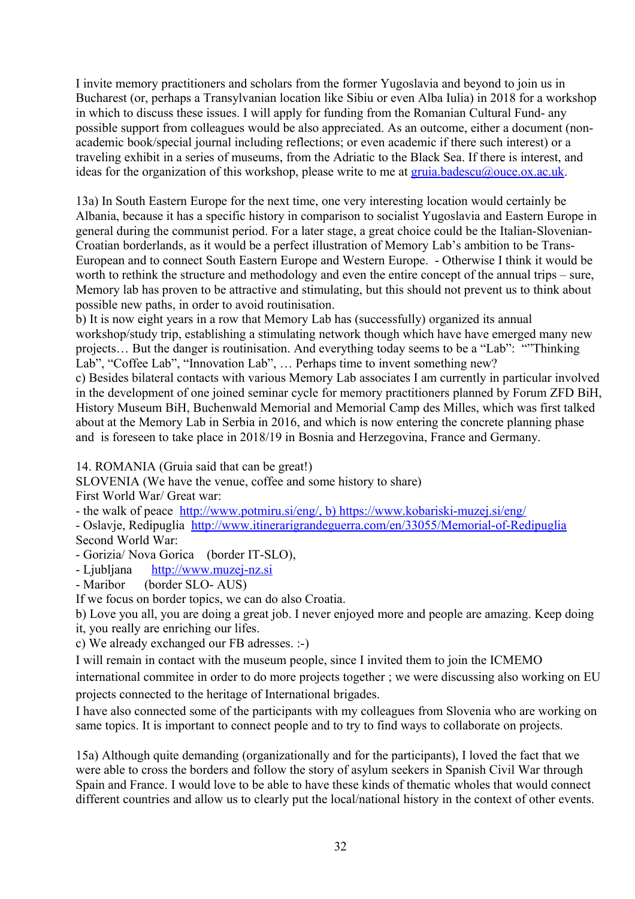I invite memory practitioners and scholars from the former Yugoslavia and beyond to join us in Bucharest (or, perhaps a Transylvanian location like Sibiu or even Alba Iulia) in 2018 for a workshop in which to discuss these issues. I will apply for funding from the Romanian Cultural Fund- any possible support from colleagues would be also appreciated. As an outcome, either a document (nonacademic book/special journal including reflections; or even academic if there such interest) or a traveling exhibit in a series of museums, from the Adriatic to the Black Sea. If there is interest, and ideas for the organization of this workshop, please write to me at  $gruia.badescu@ouce.ox.ac.uk$ .

13a) In South Eastern Europe for the next time, one very interesting location would certainly be Albania, because it has a specific history in comparison to socialist Yugoslavia and Eastern Europe in general during the communist period. For a later stage, a great choice could be the Italian-Slovenian-Croatian borderlands, as it would be a perfect illustration of Memory Lab's ambition to be Trans-European and to connect South Eastern Europe and Western Europe. - Otherwise I think it would be worth to rethink the structure and methodology and even the entire concept of the annual trips – sure, Memory lab has proven to be attractive and stimulating, but this should not prevent us to think about possible new paths, in order to avoid routinisation.

b) It is now eight years in a row that Memory Lab has (successfully) organized its annual workshop/study trip, establishing a stimulating network though which have have emerged many new projects… But the danger is routinisation. And everything today seems to be a "Lab": ""Thinking Lab", "Coffee Lab", "Innovation Lab", ... Perhaps time to invent something new?

c) Besides bilateral contacts with various Memory Lab associates I am currently in particular involved in the development of one joined seminar cycle for memory practitioners planned by Forum ZFD BiH, History Museum BiH, Buchenwald Memorial and Memorial Camp des Milles, which was first talked about at the Memory Lab in Serbia in 2016, and which is now entering the concrete planning phase and is foreseen to take place in 2018/19 in Bosnia and Herzegovina, France and Germany.

14. ROMANIA (Gruia said that can be great!)

SLOVENIA (We have the venue, coffee and some history to share) First World War/ Great war:

- the walk of peace http://www.potmiru.si/eng/, b) <https://www.kobariski-muzej.si/eng/>

- Oslavje, Redipuglia <http://www.itinerarigrandeguerra.com/en/33055/Memorial-of-Redipuglia> Second World War:

- Gorizia/ Nova Gorica (border IT-SLO),

- Ljubljana [http://www.muzej-nz.si](http://www.muzej-nz.si/)

- Maribor (border SLO- AUS)

If we focus on border topics, we can do also Croatia.

b) Love you all, you are doing a great job. I never enjoyed more and people are amazing. Keep doing it, you really are enriching our lifes.

c) We already exchanged our FB adresses. :-)

I will remain in contact with the museum people, since I invited them to join the ICMEMO

international commitee in order to do more projects together ; we were discussing also working on EU projects connected to the heritage of International brigades.

I have also connected some of the participants with my colleagues from Slovenia who are working on same topics. It is important to connect people and to try to find ways to collaborate on projects.

15a) Although quite demanding (organizationally and for the participants), I loved the fact that we were able to cross the borders and follow the story of asylum seekers in Spanish Civil War through Spain and France. I would love to be able to have these kinds of thematic wholes that would connect different countries and allow us to clearly put the local/national history in the context of other events.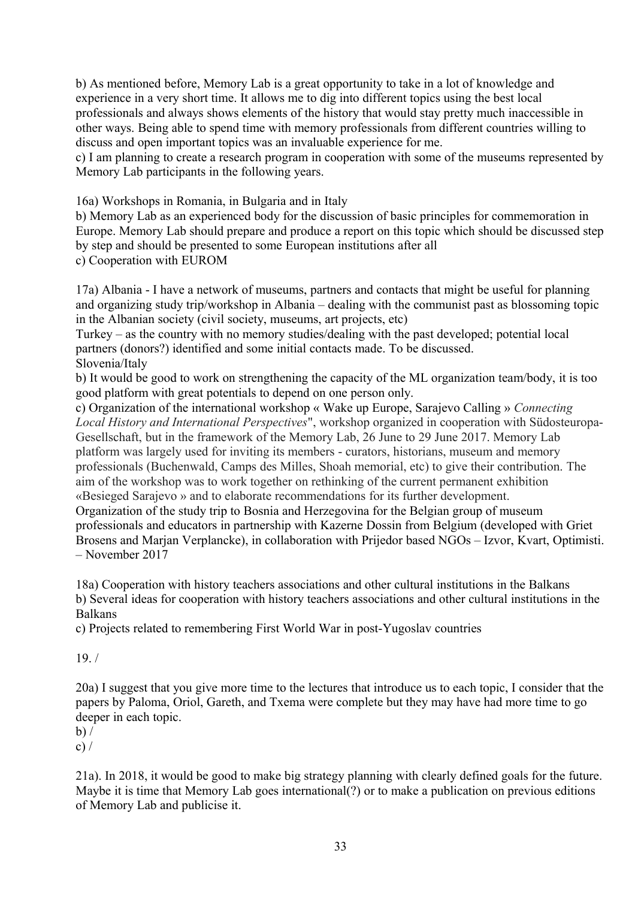b) As mentioned before, Memory Lab is a great opportunity to take in a lot of knowledge and experience in a very short time. It allows me to dig into different topics using the best local professionals and always shows elements of the history that would stay pretty much inaccessible in other ways. Being able to spend time with memory professionals from different countries willing to discuss and open important topics was an invaluable experience for me.

c) I am planning to create a research program in cooperation with some of the museums represented by Memory Lab participants in the following years.

16a) Workshops in Romania, in Bulgaria and in Italy

b) Memory Lab as an experienced body for the discussion of basic principles for commemoration in Europe. Memory Lab should prepare and produce a report on this topic which should be discussed step by step and should be presented to some European institutions after all c) Cooperation with EUROM

17a) Albania - I have a network of museums, partners and contacts that might be useful for planning and organizing study trip/workshop in Albania – dealing with the communist past as blossoming topic in the Albanian society (civil society, museums, art projects, etc)

Turkey – as the country with no memory studies/dealing with the past developed; potential local partners (donors?) identified and some initial contacts made. To be discussed. Slovenia/Italy

b) It would be good to work on strengthening the capacity of the ML organization team/body, it is too good platform with great potentials to depend on one person only.

c) Organization of the international workshop « Wake up Europe, Sarajevo Calling » *Connecting Local History and International Perspectives*", workshop organized in cooperation with Südosteuropa-Gesellschaft, but in the framework of the Memory Lab, 26 June to 29 June 2017. Memory Lab platform was largely used for inviting its members - curators, historians, museum and memory professionals (Buchenwald, Camps des Milles, Shoah memorial, etc) to give their contribution. The aim of the workshop was to work together on rethinking of the current permanent exhibition «Besieged Sarajevo » and to elaborate recommendations for its further development. Organization of the study trip to Bosnia and Herzegovina for the Belgian group of museum professionals and educators in partnership with Kazerne Dossin from Belgium (developed with Griet Brosens and Marjan Verplancke), in collaboration with Prijedor based NGOs – Izvor, Kvart, Optimisti. – November 2017

18a) Cooperation with history teachers associations and other cultural institutions in the Balkans b) Several ideas for cooperation with history teachers associations and other cultural institutions in the Balkans

c) Projects related to remembering First World War in post-Yugoslav countries

 $19. /$ 

20a) I suggest that you give more time to the lectures that introduce us to each topic, I consider that the papers by Paloma, Oriol, Gareth, and Txema were complete but they may have had more time to go deeper in each topic.

 $b) /$ 

c)  $/$ 

21a). In 2018, it would be good to make big strategy planning with clearly defined goals for the future. Maybe it is time that Memory Lab goes international(?) or to make a publication on previous editions of Memory Lab and publicise it.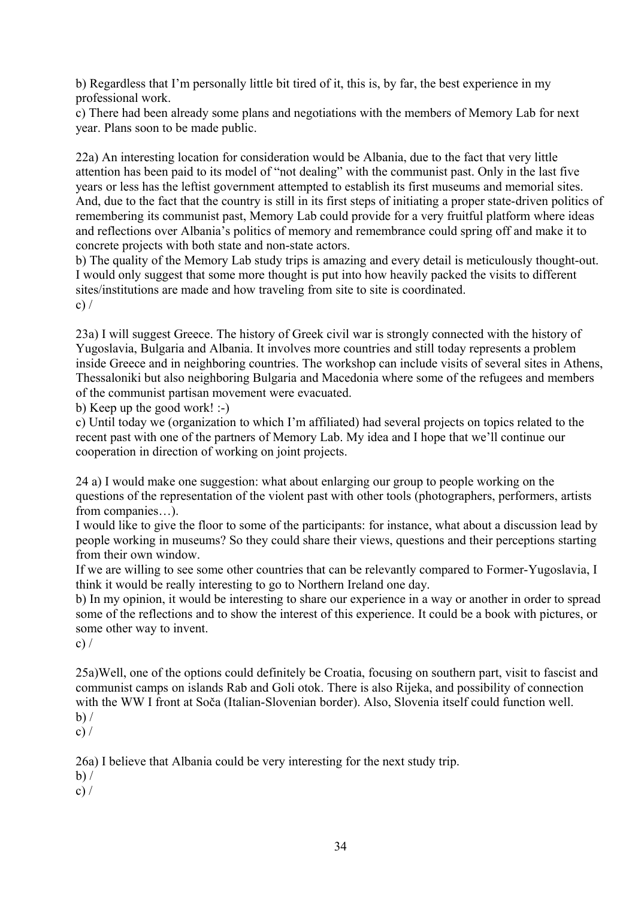b) Regardless that I'm personally little bit tired of it, this is, by far, the best experience in my professional work.

c) There had been already some plans and negotiations with the members of Memory Lab for next year. Plans soon to be made public.

22a) An interesting location for consideration would be Albania, due to the fact that very little attention has been paid to its model of "not dealing" with the communist past. Only in the last five years or less has the leftist government attempted to establish its first museums and memorial sites. And, due to the fact that the country is still in its first steps of initiating a proper state-driven politics of remembering its communist past, Memory Lab could provide for a very fruitful platform where ideas and reflections over Albania's politics of memory and remembrance could spring off and make it to concrete projects with both state and non-state actors.

b) The quality of the Memory Lab study trips is amazing and every detail is meticulously thought-out. I would only suggest that some more thought is put into how heavily packed the visits to different sites/institutions are made and how traveling from site to site is coordinated. c)  $/$ 

23a) I will suggest Greece. The history of Greek civil war is strongly connected with the history of Yugoslavia, Bulgaria and Albania. It involves more countries and still today represents a problem inside Greece and in neighboring countries. The workshop can include visits of several sites in Athens, Thessaloniki but also neighboring Bulgaria and Macedonia where some of the refugees and members of the communist partisan movement were evacuated.

b) Keep up the good work! :-)

c) Until today we (organization to which I'm affiliated) had several projects on topics related to the recent past with one of the partners of Memory Lab. My idea and I hope that we'll continue our cooperation in direction of working on joint projects.

24 a) I would make one suggestion: what about enlarging our group to people working on the questions of the representation of the violent past with other tools (photographers, performers, artists from companies…).

I would like to give the floor to some of the participants: for instance, what about a discussion lead by people working in museums? So they could share their views, questions and their perceptions starting from their own window.

If we are willing to see some other countries that can be relevantly compared to Former-Yugoslavia, I think it would be really interesting to go to Northern Ireland one day.

b) In my opinion, it would be interesting to share our experience in a way or another in order to spread some of the reflections and to show the interest of this experience. It could be a book with pictures, or some other way to invent.

c)  $/$ 

25a)Well, one of the options could definitely be Croatia, focusing on southern part, visit to fascist and communist camps on islands Rab and Goli otok. There is also Rijeka, and possibility of connection with the WW I front at Soča (Italian-Slovenian border). Also, Slovenia itself could function well.  $b) /$ 

 $c) /$ 

26a) I believe that Albania could be very interesting for the next study trip.

 $b) /$ 

c)  $/$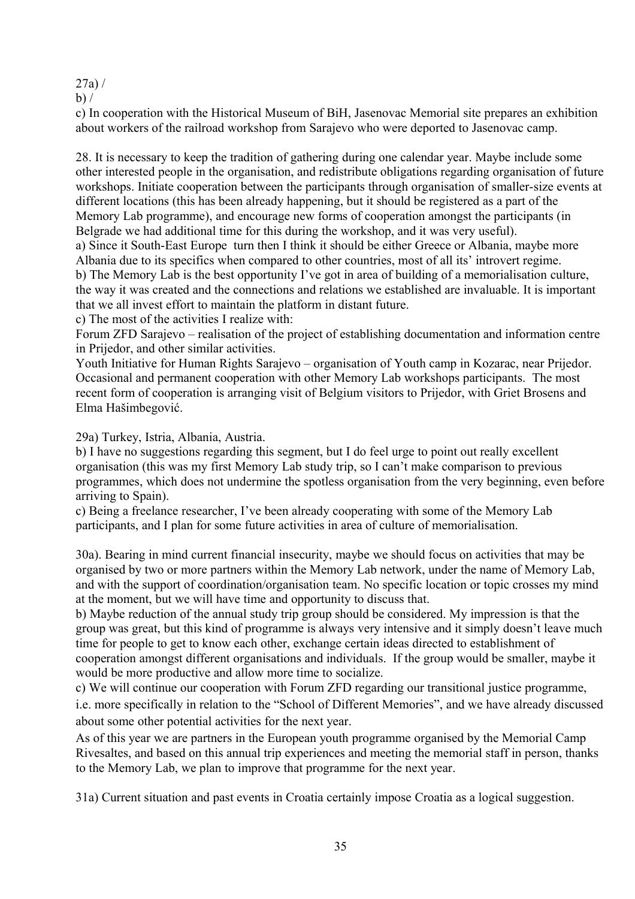#### 27a) /

 $b)$  /

c) In cooperation with the Historical Museum of BiH, Jasenovac Memorial site prepares an exhibition about workers of the railroad workshop from Sarajevo who were deported to Jasenovac camp.

28. It is necessary to keep the tradition of gathering during one calendar year. Maybe include some other interested people in the organisation, and redistribute obligations regarding organisation of future workshops. Initiate cooperation between the participants through organisation of smaller-size events at different locations (this has been already happening, but it should be registered as a part of the Memory Lab programme), and encourage new forms of cooperation amongst the participants (in Belgrade we had additional time for this during the workshop, and it was very useful). a) Since it South-East Europe turn then I think it should be either Greece or Albania, maybe more Albania due to its specifics when compared to other countries, most of all its' introvert regime. b) The Memory Lab is the best opportunity I've got in area of building of a memorialisation culture, the way it was created and the connections and relations we established are invaluable. It is important

that we all invest effort to maintain the platform in distant future.

c) The most of the activities I realize with:

Forum ZFD Sarajevo – realisation of the project of establishing documentation and information centre in Prijedor, and other similar activities.

Youth Initiative for Human Rights Sarajevo – organisation of Youth camp in Kozarac, near Prijedor. Occasional and permanent cooperation with other Memory Lab workshops participants. The most recent form of cooperation is arranging visit of Belgium visitors to Prijedor, with Griet Brosens and Elma Hašimbegović.

29a) Turkey, Istria, Albania, Austria.

b) I have no suggestions regarding this segment, but I do feel urge to point out really excellent organisation (this was my first Memory Lab study trip, so I can't make comparison to previous programmes, which does not undermine the spotless organisation from the very beginning, even before arriving to Spain).

c) Being a freelance researcher, I've been already cooperating with some of the Memory Lab participants, and I plan for some future activities in area of culture of memorialisation.

30a). Bearing in mind current financial insecurity, maybe we should focus on activities that may be organised by two or more partners within the Memory Lab network, under the name of Memory Lab, and with the support of coordination/organisation team. No specific location or topic crosses my mind at the moment, but we will have time and opportunity to discuss that.

b) Maybe reduction of the annual study trip group should be considered. My impression is that the group was great, but this kind of programme is always very intensive and it simply doesn't leave much time for people to get to know each other, exchange certain ideas directed to establishment of cooperation amongst different organisations and individuals. If the group would be smaller, maybe it would be more productive and allow more time to socialize.

c) We will continue our cooperation with Forum ZFD regarding our transitional justice programme, i.e. more specifically in relation to the "School of Different Memories", and we have already discussed about some other potential activities for the next year.

As of this year we are partners in the European youth programme organised by the Memorial Camp Rivesaltes, and based on this annual trip experiences and meeting the memorial staff in person, thanks to the Memory Lab, we plan to improve that programme for the next year.

31a) Current situation and past events in Croatia certainly impose Croatia as a logical suggestion.